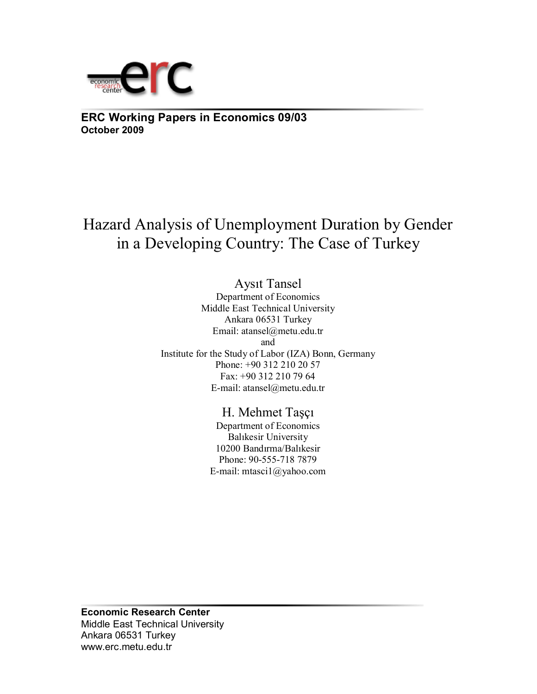

**ERC Working Papers in Economics 09/03 October 2009**

Hazard Analysis of Unemployment Duration by Gender in a Developing Country: The Case of Turkey

> Aysıt Tansel Department of Economics Middle East Technical University Ankara 06531 Turkey Email: atansel@metu.edu.tr and Institute for the Study of Labor (IZA) Bonn, Germany Phone: +90 312 210 20 57 Fax: +90 312 210 79 64 E-mail: atansel@metu.edu.tr

> > H. Mehmet Taşçı

Department of Economics Balıkesir University 10200 Bandırma/Balıkesir Phone: 90-555-718 7879 E-mail: mtasci1@yahoo.com

**Economic Research Center**  Middle East Technical University Ankara 06531 Turkey www.erc.metu.edu.tr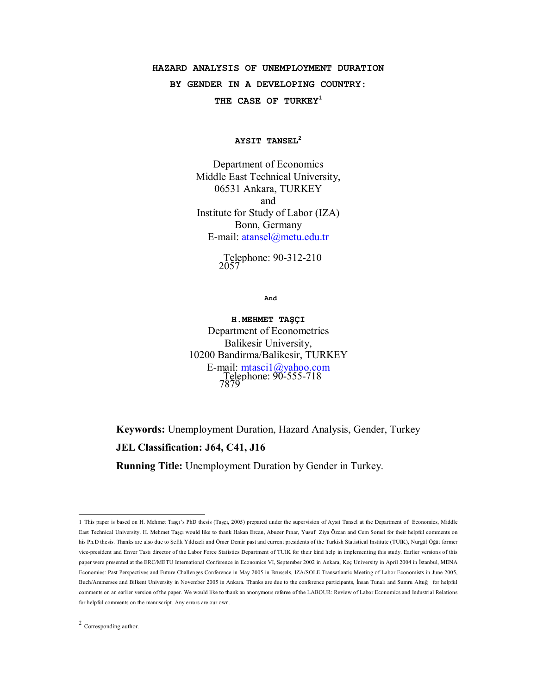# **HAZARD ANALYSIS OF UNEMPLOYMENT DURATION**

**BY GENDER IN A DEVELOPING COUNTRY:** 

**THE CASE OF TURKEY1**

**AYSIT TANSEL2**

Department of Economics Middle East Technical University, 06531 Ankara, TURKEY and Institute for Study of Labor (IZA) Bonn, Germany E-mail: atansel@metu.edu.tr

> Telephone: 90-312-210 2057

> > **And**

**H.MEHMET TAŞÇI**  Department of Econometrics Balikesir University, 10200 Bandirma/Balikesir, TURKEY E-mail: mtasci1@yahoo.com<br>Telephone: 90-555-718 7879

**Keywords:** Unemployment Duration, Hazard Analysis, Gender, Turkey **JEL Classification: J64, C41, J16 Running Title:** Unemployment Duration by Gender in Turkey.

 1 This paper is based on H. Mehmet Taşçı's PhD thesis (Taşçı, 2005) prepared under the supervision of Aysıt Tansel at the Department of Economics, Middle East Technical University. H. Mehmet Taşçı would like to thank Hakan Ercan, Abuzer Pınar, Yusuf Ziya Özcan and Cem Somel for their helpful comments on his Ph.D thesis. Thanks are also due to Şefik Yıldızeli and Ömer Demir past and current presidents of the Turkish Statistical Institute (TUIK), Nurgül Öğüt former vice-president and Enver Tastı director of the Labor Force Statistics Department of TUIK for their kind help in implementing this study. Earlier versions of this paper were presented at the ERC/METU International Conference in Economics VI, September 2002 in Ankara, Koç University in April 2004 in İstanbul, MENA Economies: Past Perspectives and Future Challenges Conference in May 2005 in Brussels, IZA/SOLE Transatlantic Meeting of Labor Economists in June 2005, Buch/Ammersee and Bilkent University in November 2005 in Ankara. Thanks are due to the conference participants, İnsan Tunalı and Sumru Altuğ for helpful comments on an earlier version of the paper. We would like to thank an anonymous referee of the LABOUR: Review of Labor Economics and Industrial Relations for helpful comments on the manuscript. Any errors are our own.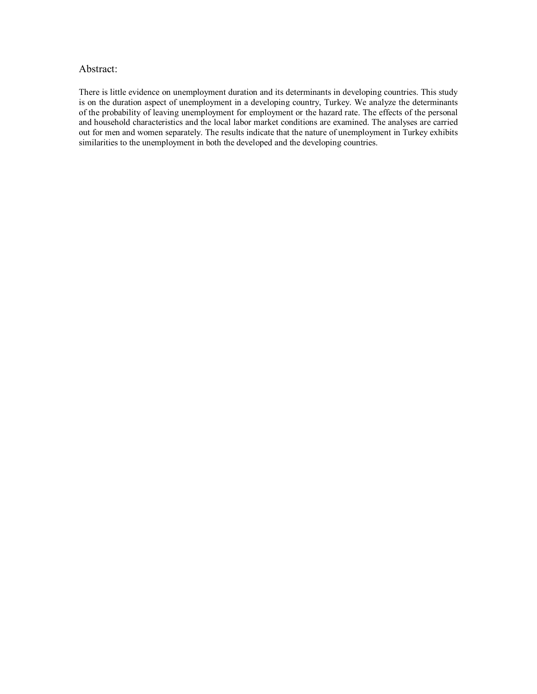### Abstract:

There is little evidence on unemployment duration and its determinants in developing countries. This study is on the duration aspect of unemployment in a developing country, Turkey. We analyze the determinants of the probability of leaving unemployment for employment or the hazard rate. The effects of the personal and household characteristics and the local labor market conditions are examined. The analyses are carried out for men and women separately. The results indicate that the nature of unemployment in Turkey exhibits similarities to the unemployment in both the developed and the developing countries.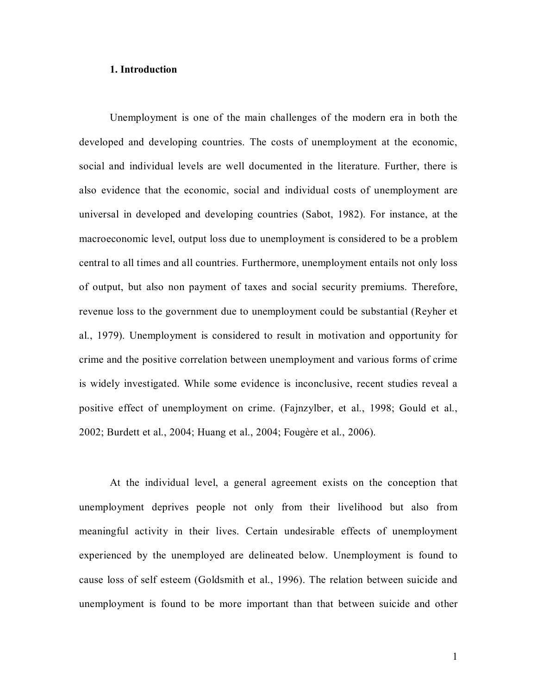#### **1. Introduction**

Unemployment is one of the main challenges of the modern era in both the developed and developing countries. The costs of unemployment at the economic, social and individual levels are well documented in the literature. Further, there is also evidence that the economic, social and individual costs of unemployment are universal in developed and developing countries (Sabot, 1982). For instance, at the macroeconomic level, output loss due to unemployment is considered to be a problem central to all times and all countries. Furthermore, unemployment entails not only loss of output, but also non payment of taxes and social security premiums. Therefore, revenue loss to the government due to unemployment could be substantial (Reyher et al., 1979). Unemployment is considered to result in motivation and opportunity for crime and the positive correlation between unemployment and various forms of crime is widely investigated. While some evidence is inconclusive, recent studies reveal a positive effect of unemployment on crime. (Fajnzylber, et al., 1998; Gould et al., 2002; Burdett et al., 2004; Huang et al., 2004; Fougère et al., 2006).

At the individual level, a general agreement exists on the conception that unemployment deprives people not only from their livelihood but also from meaningful activity in their lives. Certain undesirable effects of unemployment experienced by the unemployed are delineated below. Unemployment is found to cause loss of self esteem (Goldsmith et al., 1996). The relation between suicide and unemployment is found to be more important than that between suicide and other

1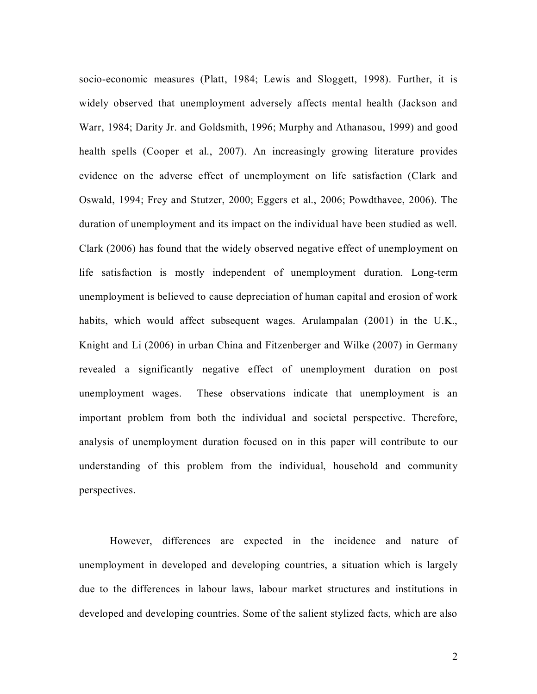socio-economic measures (Platt, 1984; Lewis and Sloggett, 1998). Further, it is widely observed that unemployment adversely affects mental health (Jackson and Warr, 1984; Darity Jr. and Goldsmith, 1996; Murphy and Athanasou, 1999) and good health spells (Cooper et al., 2007). An increasingly growing literature provides evidence on the adverse effect of unemployment on life satisfaction (Clark and Oswald, 1994; Frey and Stutzer, 2000; Eggers et al., 2006; Powdthavee, 2006). The duration of unemployment and its impact on the individual have been studied as well. Clark (2006) has found that the widely observed negative effect of unemployment on life satisfaction is mostly independent of unemployment duration. Long-term unemployment is believed to cause depreciation of human capital and erosion of work habits, which would affect subsequent wages. Arulampalan (2001) in the U.K., Knight and Li (2006) in urban China and Fitzenberger and Wilke (2007) in Germany revealed a significantly negative effect of unemployment duration on post unemployment wages. These observations indicate that unemployment is an important problem from both the individual and societal perspective. Therefore, analysis of unemployment duration focused on in this paper will contribute to our understanding of this problem from the individual, household and community perspectives.

However, differences are expected in the incidence and nature of unemployment in developed and developing countries, a situation which is largely due to the differences in labour laws, labour market structures and institutions in developed and developing countries. Some of the salient stylized facts, which are also

2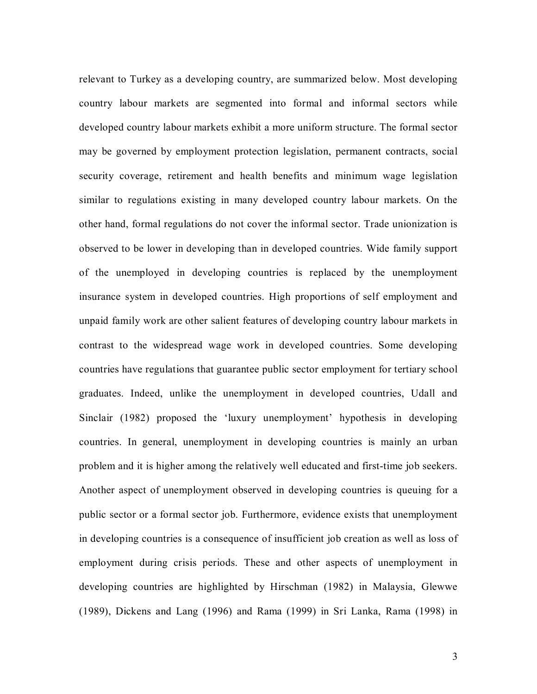relevant to Turkey as a developing country, are summarized below. Most developing country labour markets are segmented into formal and informal sectors while developed country labour markets exhibit a more uniform structure. The formal sector may be governed by employment protection legislation, permanent contracts, social security coverage, retirement and health benefits and minimum wage legislation similar to regulations existing in many developed country labour markets. On the other hand, formal regulations do not cover the informal sector. Trade unionization is observed to be lower in developing than in developed countries. Wide family support of the unemployed in developing countries is replaced by the unemployment insurance system in developed countries. High proportions of self employment and unpaid family work are other salient features of developing country labour markets in contrast to the widespread wage work in developed countries. Some developing countries have regulations that guarantee public sector employment for tertiary school graduates. Indeed, unlike the unemployment in developed countries, Udall and Sinclair (1982) proposed the 'luxury unemployment' hypothesis in developing countries. In general, unemployment in developing countries is mainly an urban problem and it is higher among the relatively well educated and first-time job seekers. Another aspect of unemployment observed in developing countries is queuing for a public sector or a formal sector job. Furthermore, evidence exists that unemployment in developing countries is a consequence of insufficient job creation as well as loss of employment during crisis periods. These and other aspects of unemployment in developing countries are highlighted by Hirschman (1982) in Malaysia, Glewwe (1989), Dickens and Lang (1996) and Rama (1999) in Sri Lanka, Rama (1998) in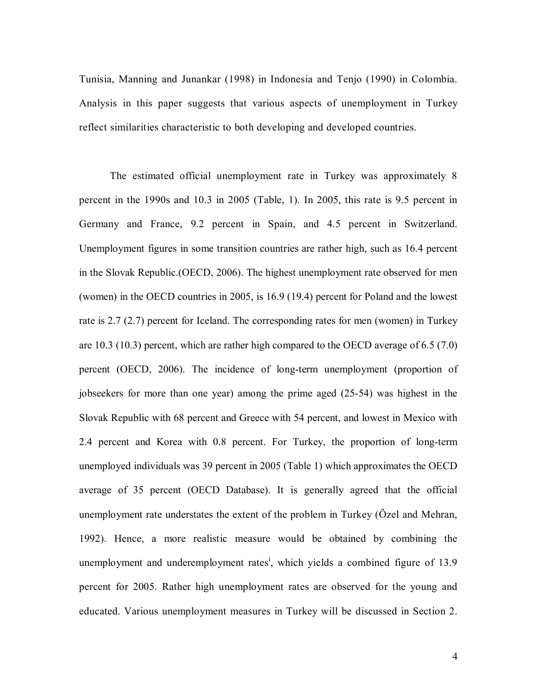Tunisia, Manning and Junankar (1998) in Indonesia and Tenjo (1990) in Colombia. Analysis in this paper suggests that various aspects of unemployment in Turkey reflect similarities characteristic to both developing and developed countries.

The estimated official unemployment rate in Turkey was approximately 8 percent in the 1990s and 10.3 in 2005 (Table, 1). In 2005, this rate is 9.5 percent in Germany and France, 9.2 percent in Spain, and 4.5 percent in Switzerland. Unemployment figures in some transition countries are rather high, such as 16.4 percent in the Slovak Republic.(OECD, 2006). The highest unemployment rate observed for men (women) in the OECD countries in 2005, is 16.9 (19.4) percent for Poland and the lowest rate is 2.7 (2.7) percent for Iceland. The corresponding rates for men (women) in Turkey are 10.3 (10.3) percent, which are rather high compared to the OECD average of 6.5 (7.0) percent (OECD, 2006). The incidence of long-term unemployment (proportion of jobseekers for more than one year) among the prime aged (25-54) was highest in the Slovak Republic with 68 percent and Greece with 54 percent, and lowest in Mexico with 2.4 percent and Korea with 0.8 percent. For Turkey, the proportion of long-term unemployed individuals was 39 percent in 2005 (Table 1) which approximates the OECD average of 35 percent (OECD Database). It is generally agreed that the official unemployment rate understates the extent of the problem in Turkey (Özel and Mehran, 1992). Hence, a more realistic measure would be obtained by combining the unemployment and underemployment rates<sup>i</sup>, which yields a combined figure of 13.9 percent for 2005. Rather high unemployment rates are observed for the young and educated. Various unemployment measures in Turkey will be discussed in Section 2.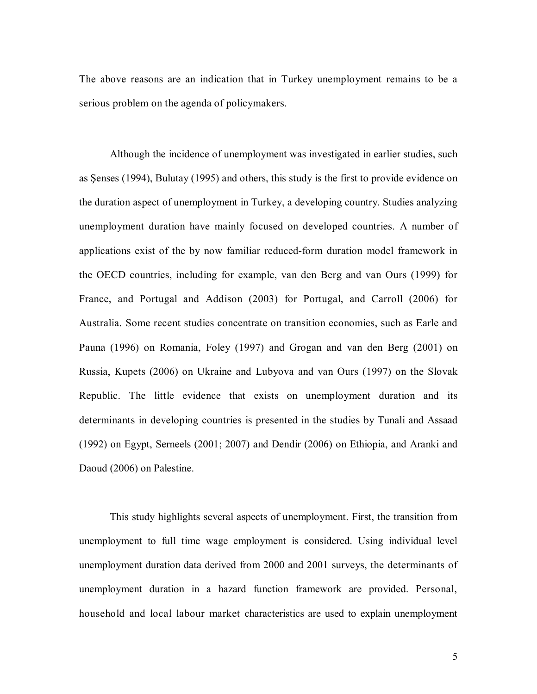The above reasons are an indication that in Turkey unemployment remains to be a serious problem on the agenda of policymakers.

Although the incidence of unemployment was investigated in earlier studies, such as Şenses (1994), Bulutay (1995) and others, this study is the first to provide evidence on the duration aspect of unemployment in Turkey, a developing country. Studies analyzing unemployment duration have mainly focused on developed countries. A number of applications exist of the by now familiar reduced-form duration model framework in the OECD countries, including for example, van den Berg and van Ours (1999) for France, and Portugal and Addison (2003) for Portugal, and Carroll (2006) for Australia. Some recent studies concentrate on transition economies, such as Earle and Pauna (1996) on Romania, Foley (1997) and Grogan and van den Berg (2001) on Russia, Kupets (2006) on Ukraine and Lubyova and van Ours (1997) on the Slovak Republic. The little evidence that exists on unemployment duration and its determinants in developing countries is presented in the studies by Tunali and Assaad (1992) on Egypt, Serneels (2001; 2007) and Dendir (2006) on Ethiopia, and Aranki and Daoud (2006) on Palestine.

This study highlights several aspects of unemployment. First, the transition from unemployment to full time wage employment is considered. Using individual level unemployment duration data derived from 2000 and 2001 surveys, the determinants of unemployment duration in a hazard function framework are provided. Personal, household and local labour market characteristics are used to explain unemployment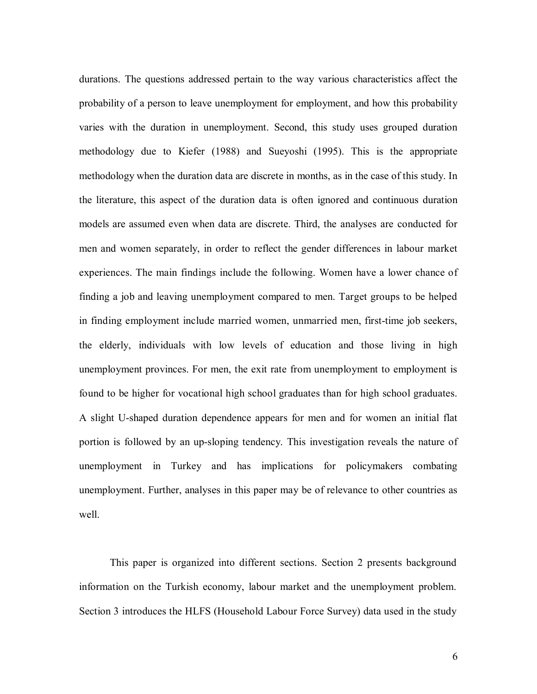durations. The questions addressed pertain to the way various characteristics affect the probability of a person to leave unemployment for employment, and how this probability varies with the duration in unemployment. Second, this study uses grouped duration methodology due to Kiefer (1988) and Sueyoshi (1995). This is the appropriate methodology when the duration data are discrete in months, as in the case of this study. In the literature, this aspect of the duration data is often ignored and continuous duration models are assumed even when data are discrete. Third, the analyses are conducted for men and women separately, in order to reflect the gender differences in labour market experiences. The main findings include the following. Women have a lower chance of finding a job and leaving unemployment compared to men. Target groups to be helped in finding employment include married women, unmarried men, first-time job seekers, the elderly, individuals with low levels of education and those living in high unemployment provinces. For men, the exit rate from unemployment to employment is found to be higher for vocational high school graduates than for high school graduates. A slight U-shaped duration dependence appears for men and for women an initial flat portion is followed by an up-sloping tendency. This investigation reveals the nature of unemployment in Turkey and has implications for policymakers combating unemployment. Further, analyses in this paper may be of relevance to other countries as well.

This paper is organized into different sections. Section 2 presents background information on the Turkish economy, labour market and the unemployment problem. Section 3 introduces the HLFS (Household Labour Force Survey) data used in the study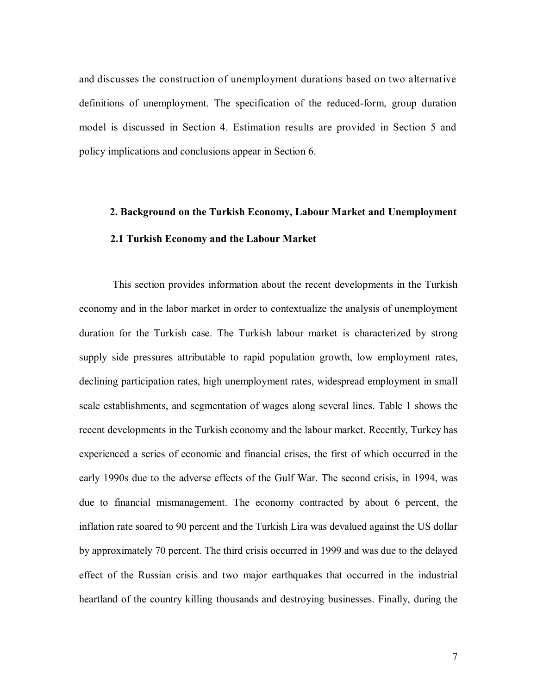and discusses the construction of unemployment durations based on two alternative definitions of unemployment. The specification of the reduced-form, group duration model is discussed in Section 4. Estimation results are provided in Section 5 and policy implications and conclusions appear in Section 6.

# **2. Background on the Turkish Economy, Labour Market and Unemployment 2.1 Turkish Economy and the Labour Market**

 This section provides information about the recent developments in the Turkish economy and in the labor market in order to contextualize the analysis of unemployment duration for the Turkish case. The Turkish labour market is characterized by strong supply side pressures attributable to rapid population growth, low employment rates, declining participation rates, high unemployment rates, widespread employment in small scale establishments, and segmentation of wages along several lines. Table 1 shows the recent developments in the Turkish economy and the labour market. Recently, Turkey has experienced a series of economic and financial crises, the first of which occurred in the early 1990s due to the adverse effects of the Gulf War. The second crisis, in 1994, was due to financial mismanagement. The economy contracted by about 6 percent, the inflation rate soared to 90 percent and the Turkish Lira was devalued against the US dollar by approximately 70 percent. The third crisis occurred in 1999 and was due to the delayed effect of the Russian crisis and two major earthquakes that occurred in the industrial heartland of the country killing thousands and destroying businesses. Finally, during the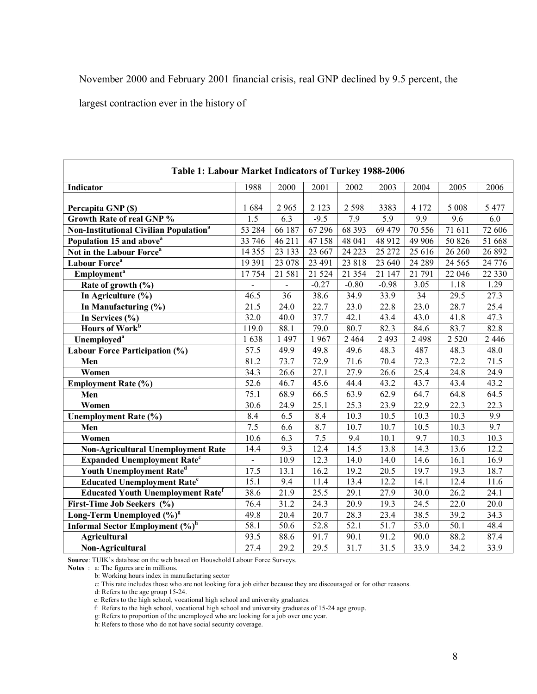November 2000 and February 2001 financial crisis, real GNP declined by 9.5 percent, the

largest contraction ever in the history of

| Table 1: Labour Market Indicators of Turkey 1988-2006    |                   |                 |         |          |         |                   |         |          |
|----------------------------------------------------------|-------------------|-----------------|---------|----------|---------|-------------------|---------|----------|
| Indicator                                                | 1988              | 2000            | 2001    | 2002     | 2003    | 2004              | 2005    | 2006     |
| Percapita GNP (\$)                                       | 1684              | 2 9 6 5         | 2 1 2 3 | 2 5 9 8  | 3383    | 4 1 7 2           | 5 0 0 8 | 5 4 7 7  |
| <b>Growth Rate of real GNP %</b>                         | 1.5               | 6.3             | $-9.5$  | 7.9      | 5.9     | 9.9               | 9.6     | 6.0      |
| <b>Non-Institutional Civilian Population<sup>a</sup></b> | 53 284            | 66 187          | 67 29 6 | 68 3 93  | 69 479  | 70 556            | 71 611  | 72 606   |
| Population 15 and above <sup>a</sup>                     | 33 746            | 46 211          | 47 158  | 48 041   | 48 9 12 | 49 906            | 50 826  | 51 668   |
| Not in the Labour Force <sup>a</sup>                     | 14 3 5 5          | 23 133          | 23 667  | 24 2 23  | 25 27 2 | 25 616            | 26 260  | 26 892   |
| Labour Force <sup>a</sup>                                | 19 391            | 23 078          | 23 491  | 23818    | 23 640  | 24 28 9           | 24 5 65 | 24 776   |
| Employment <sup>a</sup>                                  | 17754             | 21 581          | 21 5 24 | 21 3 5 4 | 21 147  | 21 791            | 22 046  | 22 3 3 0 |
| Rate of growth (%)                                       |                   |                 | $-0.27$ | $-0.80$  | $-0.98$ | 3.05              | 1.18    | 1.29     |
| In Agriculture (%)                                       | 46.5              | $\overline{36}$ | 38.6    | 34.9     | 33.9    | 34                | 29.5    | 27.3     |
| In Manufacturing (%)                                     | 21.5              | 24.0            | 22.7    | 23.0     | 22.8    | 23.0              | 28.7    | 25.4     |
| In Services (%)                                          | 32.0              | 40.0            | 37.7    | 42.1     | 43.4    | 43.0              | 41.8    | 47.3     |
| Hours of Work <sup>b</sup>                               | 119.0             | 88.1            | 79.0    | 80.7     | 82.3    | 84.6              | 83.7    | 82.8     |
| Unemployed <sup>a</sup>                                  | 1638              | 1 497           | 1967    | 2 4 6 4  | 2 4 9 3 | 2 4 9 8           | 2 5 2 0 | 2 4 4 6  |
| Labour Force Participation (%)                           | $\overline{57.5}$ | 49.9            | 49.8    | 49.6     | 48.3    | 487               | 48.3    | 48.0     |
| Men                                                      | 81.2              | 73.7            | 72.9    | 71.6     | 70.4    | 72.3              | 72.2    | 71.5     |
| Women                                                    | 34.3              | 26.6            | 27.1    | 27.9     | 26.6    | 25.4              | 24.8    | 24.9     |
| <b>Employment Rate (%)</b>                               | 52.6              | 46.7            | 45.6    | 44.4     | 43.2    | 43.7              | 43.4    | 43.2     |
| Men                                                      | 75.1              | 68.9            | 66.5    | 63.9     | 62.9    | 64.7              | 64.8    | 64.5     |
| Women                                                    | 30.6              | 24.9            | 25.1    | 25.3     | 23.9    | $\overline{22.9}$ | 22.3    | 22.3     |
| <b>Unemployment Rate (%)</b>                             | 8.4               | 6.5             | 8.4     | 10.3     | 10.5    | 10.3              | 10.3    | 9.9      |
| Men                                                      | 7.5               | 6.6             | 8.7     | 10.7     | 10.7    | 10.5              | 10.3    | 9.7      |
| Women                                                    | 10.6              | 6.3             | 7.5     | 9.4      | 10.1    | 9.7               | 10.3    | 10.3     |
| <b>Non-Agricultural Unemployment Rate</b>                | 14.4              | 9.3             | 12.4    | 14.5     | 13.8    | 14.3              | 13.6    | 12.2     |
| <b>Expanded Unemployment Rate<sup>c</sup></b>            |                   | 10.9            | 12.3    | 14.0     | 14.0    | 14.6              | 16.1    | 16.9     |
| Youth Unemployment Rate <sup>d</sup>                     | 17.5              | 13.1            | 16.2    | 19.2     | 20.5    | 19.7              | 19.3    | 18.7     |
| <b>Educated Unemployment Rate<sup>e</sup></b>            | 15.1              | 9.4             | 11.4    | 13.4     | 12.2    | 14.1              | 12.4    | 11.6     |
| <b>Educated Youth Unemployment Ratef</b>                 | 38.6              | 21.9            | 25.5    | 29.1     | 27.9    | 30.0              | 26.2    | 24.1     |
| First-Time Job Seekers (%)                               | 76.4              | 31.2            | 24.3    | 20.9     | 19.3    | 24.5              | 22.0    | 20.0     |
| Long-Term Unemployed (%) <sup>g</sup>                    | 49.8              | 20.4            | 20.7    | 28.3     | 23.4    | 38.5              | 39.2    | 34.3     |
| Informal Sector Employment (%) <sup>h</sup>              | 58.1              | 50.6            | 52.8    | 52.1     | 51.7    | 53.0              | 50.1    | 48.4     |
| <b>Agricultural</b>                                      | 93.5              | 88.6            | 91.7    | 90.1     | 91.2    | 90.0              | 88.2    | 87.4     |
| Non-Agricultural                                         | 27.4              | 29.2            | 29.5    | 31.7     | 31.5    | 33.9              | 34.2    | 33.9     |

**Source**: TUIK's database on the web based on Household Labour Force Surveys.

**Notes** : a: The figures are in millions.

b: Working hours index in manufacturing sector

c: This rate includes those who are not looking for a job either because they are discouraged or for other reasons.

d: Refers to the age group 15-24.

e: Refers to the high school, vocational high school and university graduates.

f: Refers to the high school, vocational high school and university graduates of 15-24 age group.

g: Refers to proportion of the unemployed who are looking for a job over one year.

h: Refers to those who do not have social security coverage.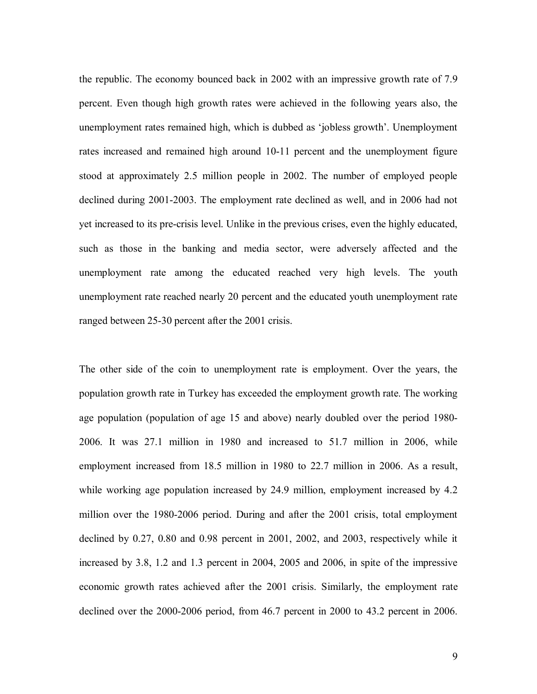the republic. The economy bounced back in 2002 with an impressive growth rate of 7.9 percent. Even though high growth rates were achieved in the following years also, the unemployment rates remained high, which is dubbed as 'jobless growth'. Unemployment rates increased and remained high around 10-11 percent and the unemployment figure stood at approximately 2.5 million people in 2002. The number of employed people declined during 2001-2003. The employment rate declined as well, and in 2006 had not yet increased to its pre-crisis level. Unlike in the previous crises, even the highly educated, such as those in the banking and media sector, were adversely affected and the unemployment rate among the educated reached very high levels. The youth unemployment rate reached nearly 20 percent and the educated youth unemployment rate ranged between 25-30 percent after the 2001 crisis.

The other side of the coin to unemployment rate is employment. Over the years, the population growth rate in Turkey has exceeded the employment growth rate. The working age population (population of age 15 and above) nearly doubled over the period 1980- 2006. It was 27.1 million in 1980 and increased to 51.7 million in 2006, while employment increased from 18.5 million in 1980 to 22.7 million in 2006. As a result, while working age population increased by 24.9 million, employment increased by 4.2 million over the 1980-2006 period. During and after the 2001 crisis, total employment declined by 0.27, 0.80 and 0.98 percent in 2001, 2002, and 2003, respectively while it increased by 3.8, 1.2 and 1.3 percent in 2004, 2005 and 2006, in spite of the impressive economic growth rates achieved after the 2001 crisis. Similarly, the employment rate declined over the 2000-2006 period, from 46.7 percent in 2000 to 43.2 percent in 2006.

9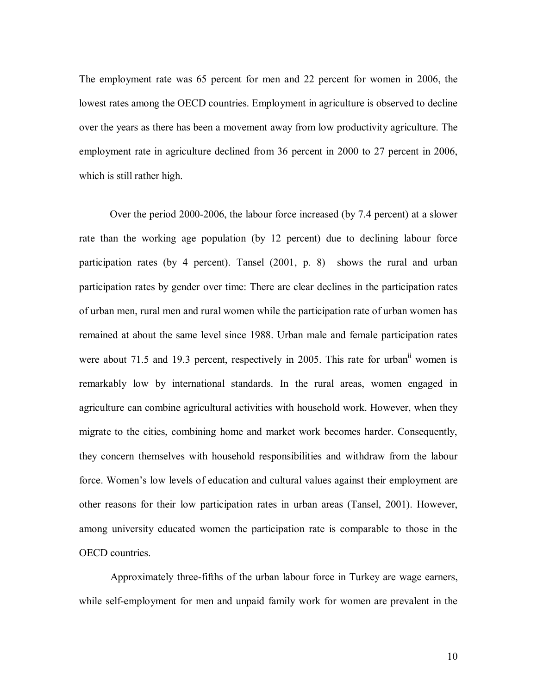The employment rate was 65 percent for men and 22 percent for women in 2006, the lowest rates among the OECD countries. Employment in agriculture is observed to decline over the years as there has been a movement away from low productivity agriculture. The employment rate in agriculture declined from 36 percent in 2000 to 27 percent in 2006, which is still rather high.

Over the period 2000-2006, the labour force increased (by 7.4 percent) at a slower rate than the working age population (by 12 percent) due to declining labour force participation rates (by 4 percent). Tansel (2001, p. 8) shows the rural and urban participation rates by gender over time: There are clear declines in the participation rates of urban men, rural men and rural women while the participation rate of urban women has remained at about the same level since 1988. Urban male and female participation rates were about 71.5 and 19.3 percent, respectively in 2005. This rate for urban<sup>ii</sup> women is remarkably low by international standards. In the rural areas, women engaged in agriculture can combine agricultural activities with household work. However, when they migrate to the cities, combining home and market work becomes harder. Consequently, they concern themselves with household responsibilities and withdraw from the labour force. Women's low levels of education and cultural values against their employment are other reasons for their low participation rates in urban areas (Tansel, 2001). However, among university educated women the participation rate is comparable to those in the OECD countries.

 Approximately three-fifths of the urban labour force in Turkey are wage earners, while self-employment for men and unpaid family work for women are prevalent in the

10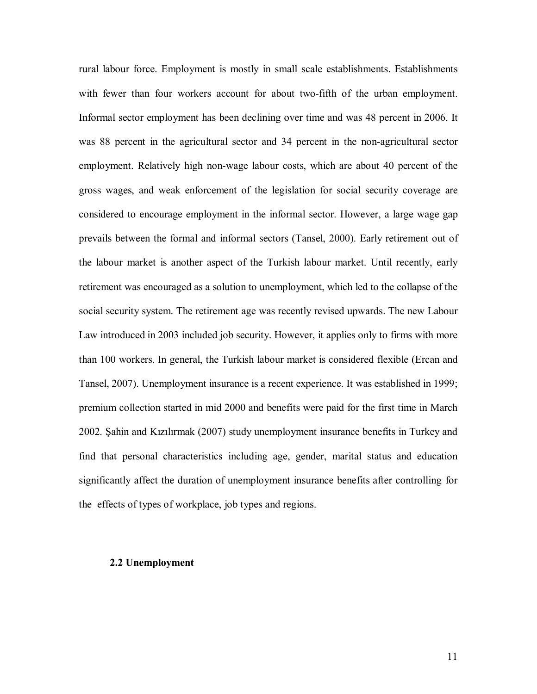rural labour force. Employment is mostly in small scale establishments. Establishments with fewer than four workers account for about two-fifth of the urban employment. Informal sector employment has been declining over time and was 48 percent in 2006. It was 88 percent in the agricultural sector and 34 percent in the non-agricultural sector employment. Relatively high non-wage labour costs, which are about 40 percent of the gross wages, and weak enforcement of the legislation for social security coverage are considered to encourage employment in the informal sector. However, a large wage gap prevails between the formal and informal sectors (Tansel, 2000). Early retirement out of the labour market is another aspect of the Turkish labour market. Until recently, early retirement was encouraged as a solution to unemployment, which led to the collapse of the social security system. The retirement age was recently revised upwards. The new Labour Law introduced in 2003 included job security. However, it applies only to firms with more than 100 workers. In general, the Turkish labour market is considered flexible (Ercan and Tansel, 2007). Unemployment insurance is a recent experience. It was established in 1999; premium collection started in mid 2000 and benefits were paid for the first time in March 2002. Şahin and Kızılırmak (2007) study unemployment insurance benefits in Turkey and find that personal characteristics including age, gender, marital status and education significantly affect the duration of unemployment insurance benefits after controlling for the effects of types of workplace, job types and regions.

#### **2.2 Unemployment**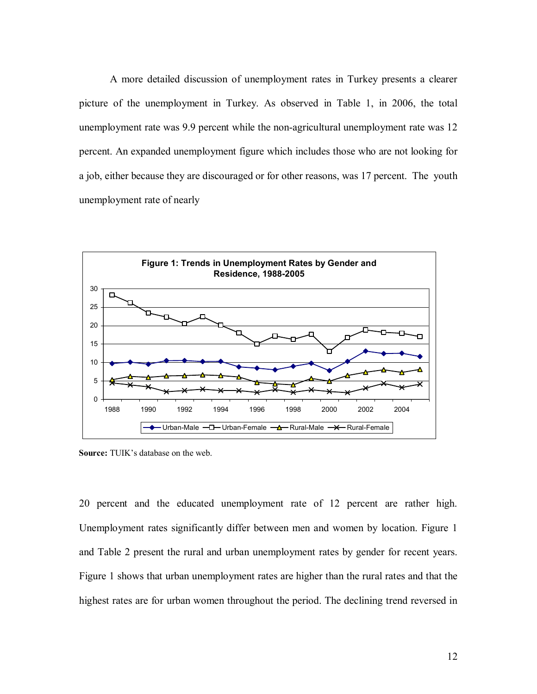A more detailed discussion of unemployment rates in Turkey presents a clearer picture of the unemployment in Turkey. As observed in Table 1, in 2006, the total unemployment rate was 9.9 percent while the non-agricultural unemployment rate was 12 percent. An expanded unemployment figure which includes those who are not looking for a job, either because they are discouraged or for other reasons, was 17 percent. The youth unemployment rate of nearly



**Source:** TUIK's database on the web.

20 percent and the educated unemployment rate of 12 percent are rather high. Unemployment rates significantly differ between men and women by location. Figure 1 and Table 2 present the rural and urban unemployment rates by gender for recent years. Figure 1 shows that urban unemployment rates are higher than the rural rates and that the highest rates are for urban women throughout the period. The declining trend reversed in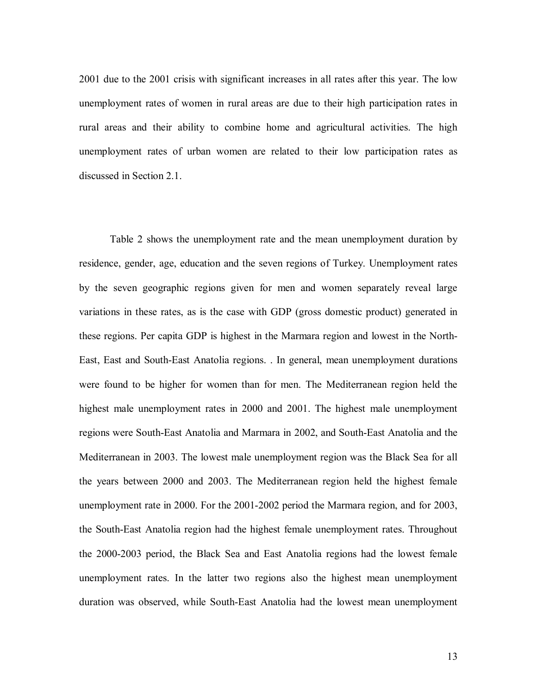2001 due to the 2001 crisis with significant increases in all rates after this year. The low unemployment rates of women in rural areas are due to their high participation rates in rural areas and their ability to combine home and agricultural activities. The high unemployment rates of urban women are related to their low participation rates as discussed in Section 2.1.

Table 2 shows the unemployment rate and the mean unemployment duration by residence, gender, age, education and the seven regions of Turkey. Unemployment rates by the seven geographic regions given for men and women separately reveal large variations in these rates, as is the case with GDP (gross domestic product) generated in these regions. Per capita GDP is highest in the Marmara region and lowest in the North-East, East and South-East Anatolia regions. . In general, mean unemployment durations were found to be higher for women than for men. The Mediterranean region held the highest male unemployment rates in 2000 and 2001. The highest male unemployment regions were South-East Anatolia and Marmara in 2002, and South-East Anatolia and the Mediterranean in 2003. The lowest male unemployment region was the Black Sea for all the years between 2000 and 2003. The Mediterranean region held the highest female unemployment rate in 2000. For the 2001-2002 period the Marmara region, and for 2003, the South-East Anatolia region had the highest female unemployment rates. Throughout the 2000-2003 period, the Black Sea and East Anatolia regions had the lowest female unemployment rates. In the latter two regions also the highest mean unemployment duration was observed, while South-East Anatolia had the lowest mean unemployment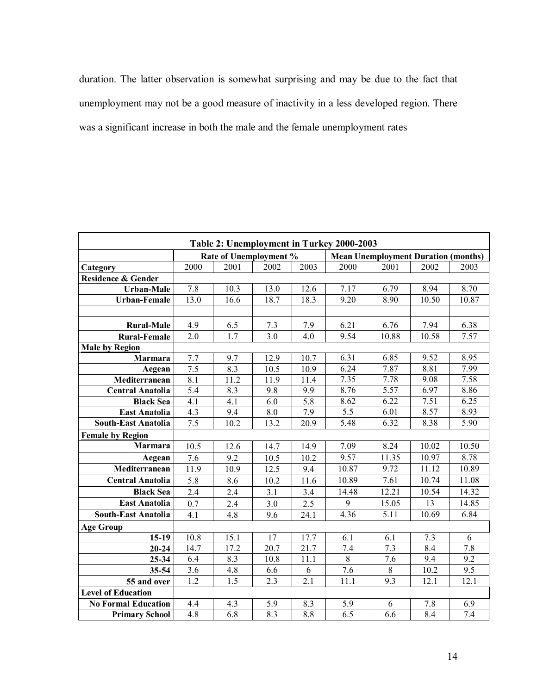duration. The latter observation is somewhat surprising and may be due to the fact that unemployment may not be a good measure of inactivity in a less developed region. There was a significant increase in both the male and the female unemployment rates

| Table 2: Unemployment in Turkey 2000-2003 |                   |                        |      |      |                                            |         |       |                  |
|-------------------------------------------|-------------------|------------------------|------|------|--------------------------------------------|---------|-------|------------------|
|                                           |                   | Rate of Unemployment % |      |      | <b>Mean Unemployment Duration (months)</b> |         |       |                  |
| Category                                  | 2000              | 2001                   | 2002 | 2003 | 2000                                       | 2001    | 2002  | 2003             |
| <b>Residence &amp; Gender</b>             |                   |                        |      |      |                                            |         |       |                  |
| <b>Urban-Male</b>                         | 7.8               | 10.3                   | 13.0 | 12.6 | 7.17                                       | 6.79    | 8.94  | 8.70             |
| <b>Urban-Female</b>                       | 13.0              | 16.6                   | 18.7 | 18.3 | 9.20                                       | 8.90    | 10.50 | 10.87            |
|                                           |                   |                        |      |      |                                            |         |       |                  |
| <b>Rural-Male</b>                         | 4.9               | 6.5                    | 7.3  | 7.9  | 6.21                                       | 6.76    | 7.94  | 6.38             |
| <b>Rural-Female</b>                       | 2.0               | 1.7                    | 3.0  | 4.0  | 9.54                                       | 10.88   | 10.58 | 7.57             |
| <b>Male by Region</b>                     |                   |                        |      |      |                                            |         |       |                  |
| <b>Marmara</b>                            | 7.7               | 9.7                    | 12.9 | 10.7 | 6.31                                       | 6.85    | 9.52  | 8.95             |
| Aegean                                    | 7.5               | 8.3                    | 10.5 | 10.9 | 6.24                                       | 7.87    | 8.81  | 7.99             |
| Mediterranean                             | $\overline{8.1}$  | 11.2                   | 11.9 | 11.4 | 7.35                                       | 7.78    | 9.08  | 7.58             |
| <b>Central Anatolia</b>                   | 5.4               | 8.3                    | 9.8  | 9.9  | 8.76                                       | 5.57    | 6.97  | 8.86             |
| <b>Black Sea</b>                          | 4.1               | 4.1                    | 6.0  | 5.8  | 8.62                                       | 6.22    | 7.51  | 6.25             |
| <b>East Anatolia</b>                      | 4.3               | 9.4                    | 8.0  | 7.9  | $\overline{5.5}$                           | 6.01    | 8.57  | 8.93             |
| <b>South-East Anatolia</b>                | 7.5               | 10.2                   | 13.2 | 20.9 | 5.48                                       | 6.32    | 8.38  | 5.90             |
| <b>Female by Region</b>                   |                   |                        |      |      |                                            |         |       |                  |
| <b>Marmara</b>                            | 10.5              | 12.6                   | 14.7 | 14.9 | 7.09                                       | 8.24    | 10.02 | 10.50            |
| Aegean                                    | 7.6               | 9.2                    | 10.5 | 10.2 | 9.57                                       | 11.35   | 10.97 | 8.78             |
| Mediterranean                             | $\overline{1}1.9$ | 10.9                   | 12.5 | 9.4  | 10.87                                      | 9.72    | 11.12 | 10.89            |
| <b>Central Anatolia</b>                   | 5.8               | 8.6                    | 10.2 | 11.6 | 10.89                                      | 7.61    | 10.74 | 11.08            |
| <b>Black Sea</b>                          | 2.4               | 2.4                    | 3.1  | 3.4  | 14.48                                      | 12.21   | 10.54 | 14.32            |
| <b>East Anatolia</b>                      | 0.7               | 2.4                    | 3.0  | 2.5  | 9                                          | 15.05   | 13    | 14.85            |
| <b>South-East Anatolia</b>                | 4.1               | 4.8                    | 9.6  | 24.1 | 4.36                                       | 5.11    | 10.69 | 6.84             |
| <b>Age Group</b>                          |                   |                        |      |      |                                            |         |       |                  |
| $15-19$                                   | 10.8              | 15.1                   | 17   | 17.7 | 6.1                                        | 6.1     | 7.3   | 6                |
| $20 - 24$                                 | 14.7              | 17.2                   | 20.7 | 21.7 | 7.4                                        | 7.3     | 8.4   | 7.8              |
| 25-34                                     | 6.4               | 8.3                    | 10.8 | 11.1 | $\overline{8}$                             | 7.6     | 9.4   | 9.2              |
| 35-54                                     | 3.6               | 4.8                    | 6.6  | 6    | 7.6                                        | $\,8\,$ | 10.2  | $\overline{9.5}$ |
| 55 and over                               | 1.2               | 1.5                    | 2.3  | 2.1  | 11.1                                       | 9.3     | 12.1  | 12.1             |
| <b>Level of Education</b>                 |                   |                        |      |      |                                            |         |       |                  |
| <b>No Formal Education</b>                | 4.4               | 4.3                    | 5.9  | 8.3  | 5.9                                        | 6       | 7.8   | 6.9              |
| <b>Primary School</b>                     | 4.8               | 6.8                    | 8.3  | 8.8  | 6.5                                        | 6.6     | 8.4   | 7.4              |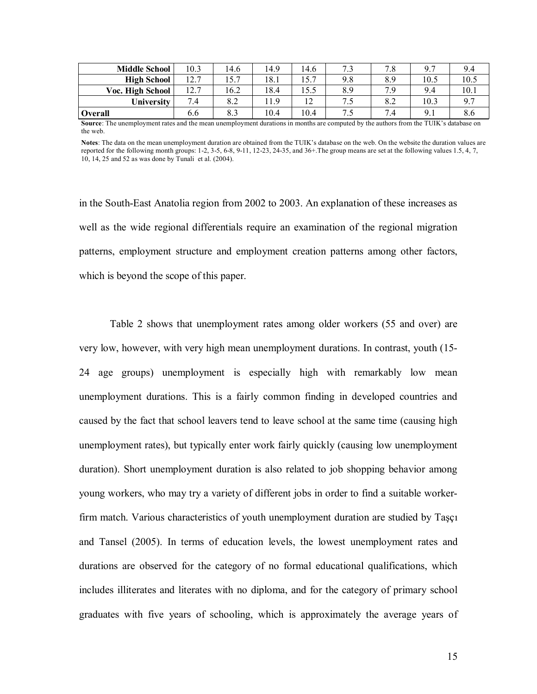| <b>Middle School</b> | 10.3 | 14.6 | 14.9 | 14.6 | $\sim$<br>. . ب | −<br>$\cdot$ O | Q <sub>7</sub> | 9.4  |
|----------------------|------|------|------|------|-----------------|----------------|----------------|------|
| <b>High School</b>   | 12.7 | 15.7 | 18.1 | 15.7 | 9.8             | 8.9            | 10.5           | 10.5 |
| Voc. High School     | 12.7 | 16.2 | 18.4 | 15.5 | 8.9             | 7 Q            | 9.4            | 10.1 |
| University           | 7.4  | 8.2  | 11.9 | 12   | −.<br>ل. ا      | 8.2            | 10.3           | 9.7  |
| Overall              | 6.6  | 8.3  | 10.4 | 10.4 | ل. ا            | 7.4            | 9.1            | 8.6  |

**Source**: The unemployment rates and the mean unemployment durations in months are computed by the authors from the TUIK's database on the web.

**Notes**: The data on the mean unemployment duration are obtained from the TUIK's database on the web. On the website the duration values are reported for the following month groups:  $1-2$ ,  $3-5$ ,  $6-8$ ,  $9-11$ ,  $12-23$ ,  $24-35$ , and  $36+$ . The group means are set at the following values 1.5, 4, 7, 10, 14, 25 and 52 as was done by Tunali et al. (2004).

in the South-East Anatolia region from 2002 to 2003. An explanation of these increases as well as the wide regional differentials require an examination of the regional migration patterns, employment structure and employment creation patterns among other factors, which is beyond the scope of this paper.

Table 2 shows that unemployment rates among older workers (55 and over) are very low, however, with very high mean unemployment durations. In contrast, youth (15- 24 age groups) unemployment is especially high with remarkably low mean unemployment durations. This is a fairly common finding in developed countries and caused by the fact that school leavers tend to leave school at the same time (causing high unemployment rates), but typically enter work fairly quickly (causing low unemployment duration). Short unemployment duration is also related to job shopping behavior among young workers, who may try a variety of different jobs in order to find a suitable workerfirm match. Various characteristics of youth unemployment duration are studied by Taşçı and Tansel (2005). In terms of education levels, the lowest unemployment rates and durations are observed for the category of no formal educational qualifications, which includes illiterates and literates with no diploma, and for the category of primary school graduates with five years of schooling, which is approximately the average years of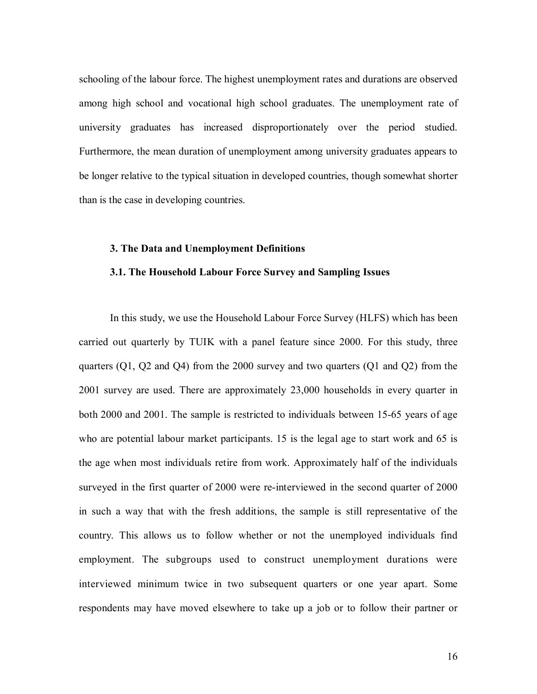schooling of the labour force. The highest unemployment rates and durations are observed among high school and vocational high school graduates. The unemployment rate of university graduates has increased disproportionately over the period studied. Furthermore, the mean duration of unemployment among university graduates appears to be longer relative to the typical situation in developed countries, though somewhat shorter than is the case in developing countries.

#### **3. The Data and Unemployment Definitions**

## **3.1. The Household Labour Force Survey and Sampling Issues**

In this study, we use the Household Labour Force Survey (HLFS) which has been carried out quarterly by TUIK with a panel feature since 2000. For this study, three quarters (Q1, Q2 and Q4) from the 2000 survey and two quarters (Q1 and Q2) from the 2001 survey are used. There are approximately 23,000 households in every quarter in both 2000 and 2001. The sample is restricted to individuals between 15-65 years of age who are potential labour market participants. 15 is the legal age to start work and 65 is the age when most individuals retire from work. Approximately half of the individuals surveyed in the first quarter of 2000 were re-interviewed in the second quarter of 2000 in such a way that with the fresh additions, the sample is still representative of the country. This allows us to follow whether or not the unemployed individuals find employment. The subgroups used to construct unemployment durations were interviewed minimum twice in two subsequent quarters or one year apart. Some respondents may have moved elsewhere to take up a job or to follow their partner or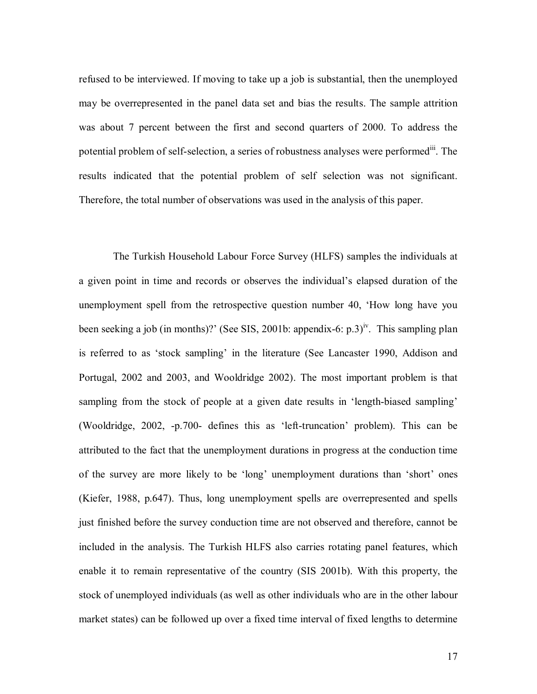refused to be interviewed. If moving to take up a job is substantial, then the unemployed may be overrepresented in the panel data set and bias the results. The sample attrition was about 7 percent between the first and second quarters of 2000. To address the potential problem of self-selection, a series of robustness analyses were performed<sup>iii</sup>. The results indicated that the potential problem of self selection was not significant. Therefore, the total number of observations was used in the analysis of this paper.

 The Turkish Household Labour Force Survey (HLFS) samples the individuals at a given point in time and records or observes the individual's elapsed duration of the unemployment spell from the retrospective question number 40, 'How long have you been seeking a job (in months)?' (See SIS, 2001b: appendix-6:  $p.3$ )<sup>iv</sup>. This sampling plan is referred to as 'stock sampling' in the literature (See Lancaster 1990, Addison and Portugal, 2002 and 2003, and Wooldridge 2002). The most important problem is that sampling from the stock of people at a given date results in 'length-biased sampling' (Wooldridge, 2002, -p.700- defines this as 'left-truncation' problem). This can be attributed to the fact that the unemployment durations in progress at the conduction time of the survey are more likely to be 'long' unemployment durations than 'short' ones (Kiefer, 1988, p.647). Thus, long unemployment spells are overrepresented and spells just finished before the survey conduction time are not observed and therefore, cannot be included in the analysis. The Turkish HLFS also carries rotating panel features, which enable it to remain representative of the country (SIS 2001b). With this property, the stock of unemployed individuals (as well as other individuals who are in the other labour market states) can be followed up over a fixed time interval of fixed lengths to determine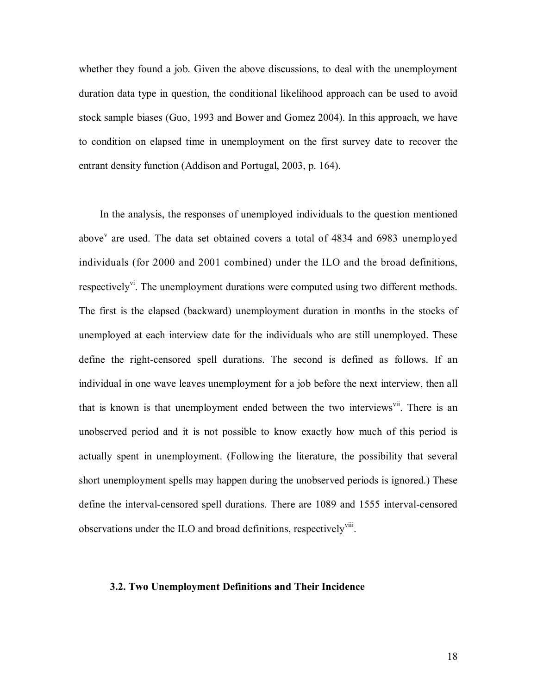whether they found a job. Given the above discussions, to deal with the unemployment duration data type in question, the conditional likelihood approach can be used to avoid stock sample biases (Guo, 1993 and Bower and Gomez 2004). In this approach, we have to condition on elapsed time in unemployment on the first survey date to recover the entrant density function (Addison and Portugal, 2003, p. 164).

 In the analysis, the responses of unemployed individuals to the question mentioned above<sup>v</sup> are used. The data set obtained covers a total of 4834 and 6983 unemployed individuals (for 2000 and 2001 combined) under the ILO and the broad definitions, respectively<sup>vi</sup>. The unemployment durations were computed using two different methods. The first is the elapsed (backward) unemployment duration in months in the stocks of unemployed at each interview date for the individuals who are still unemployed. These define the right-censored spell durations. The second is defined as follows. If an individual in one wave leaves unemployment for a job before the next interview, then all that is known is that unemployment ended between the two interviews<sup>vii</sup>. There is an unobserved period and it is not possible to know exactly how much of this period is actually spent in unemployment. (Following the literature, the possibility that several short unemployment spells may happen during the unobserved periods is ignored.) These define the interval-censored spell durations. There are 1089 and 1555 interval-censored observations under the ILO and broad definitions, respectively<sup>viii</sup>.

#### **3.2. Two Unemployment Definitions and Their Incidence**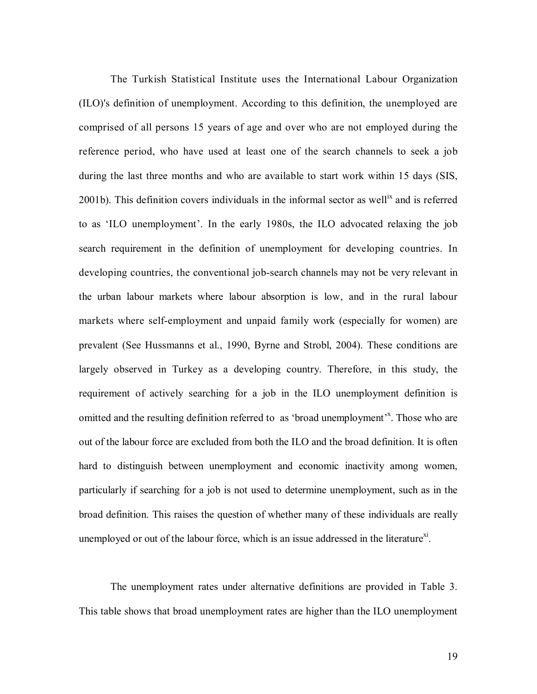The Turkish Statistical Institute uses the International Labour Organization (ILO)'s definition of unemployment. According to this definition, the unemployed are comprised of all persons 15 years of age and over who are not employed during the reference period, who have used at least one of the search channels to seek a job during the last three months and who are available to start work within 15 days (SIS, 2001b). This definition covers individuals in the informal sector as well<sup>ix</sup> and is referred to as 'ILO unemployment'. In the early 1980s, the ILO advocated relaxing the job search requirement in the definition of unemployment for developing countries. In developing countries, the conventional job-search channels may not be very relevant in the urban labour markets where labour absorption is low, and in the rural labour markets where self-employment and unpaid family work (especially for women) are prevalent (See Hussmanns et al., 1990, Byrne and Strobl, 2004). These conditions are largely observed in Turkey as a developing country. Therefore, in this study, the requirement of actively searching for a job in the ILO unemployment definition is omitted and the resulting definition referred to as 'broad unemployment'<sup>x</sup>. Those who are out of the labour force are excluded from both the ILO and the broad definition. It is often hard to distinguish between unemployment and economic inactivity among women, particularly if searching for a job is not used to determine unemployment, such as in the broad definition. This raises the question of whether many of these individuals are really unemployed or out of the labour force, which is an issue addressed in the literature<sup>xi</sup>.

The unemployment rates under alternative definitions are provided in Table 3. This table shows that broad unemployment rates are higher than the ILO unemployment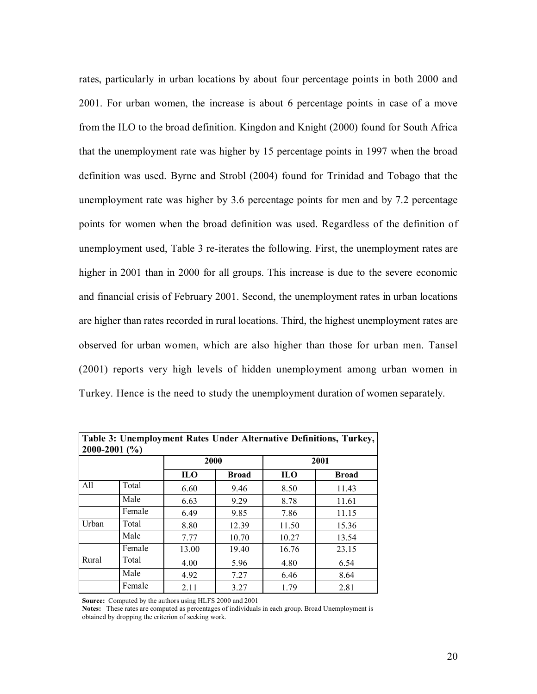rates, particularly in urban locations by about four percentage points in both 2000 and 2001. For urban women, the increase is about 6 percentage points in case of a move from the ILO to the broad definition. Kingdon and Knight (2000) found for South Africa that the unemployment rate was higher by 15 percentage points in 1997 when the broad definition was used. Byrne and Strobl (2004) found for Trinidad and Tobago that the unemployment rate was higher by 3.6 percentage points for men and by 7.2 percentage points for women when the broad definition was used. Regardless of the definition of unemployment used, Table 3 re-iterates the following. First, the unemployment rates are higher in 2001 than in 2000 for all groups. This increase is due to the severe economic and financial crisis of February 2001. Second, the unemployment rates in urban locations are higher than rates recorded in rural locations. Third, the highest unemployment rates are observed for urban women, which are also higher than those for urban men. Tansel (2001) reports very high levels of hidden unemployment among urban women in Turkey. Hence is the need to study the unemployment duration of women separately.

| Table 3: Unemployment Rates Under Alternative Definitions, Turkey,<br>2000-2001 $(\% )$ |        |            |       |            |              |  |  |
|-----------------------------------------------------------------------------------------|--------|------------|-------|------------|--------------|--|--|
|                                                                                         |        |            | 2000  |            | 2001         |  |  |
|                                                                                         |        | <b>ILO</b> | Broad | <b>ILO</b> | <b>Broad</b> |  |  |
| All                                                                                     | Total  | 6.60       | 9.46  | 8.50       | 11.43        |  |  |
|                                                                                         | Male   | 6.63       | 9.29  | 8.78       | 11.61        |  |  |
|                                                                                         | Female | 6.49       | 9.85  | 7.86       | 11.15        |  |  |
| Urban                                                                                   | Total  | 8.80       | 12.39 | 11.50      | 15.36        |  |  |
|                                                                                         | Male   | 7.77       | 10.70 | 10.27      | 13.54        |  |  |
|                                                                                         | Female | 13.00      | 19.40 | 16.76      | 23.15        |  |  |
| Rural                                                                                   | Total  | 4.00       | 5.96  | 4.80       | 6.54         |  |  |
|                                                                                         | Male   | 4.92       | 7.27  | 6.46       | 8.64         |  |  |
|                                                                                         | Female | 2.11       | 3.27  | 1.79       | 2.81         |  |  |

**Source:** Computed by the authors using HLFS 2000 and 2001

**Notes:** These rates are computed as percentages of individuals in each group. Broad Unemployment is obtained by dropping the criterion of seeking work.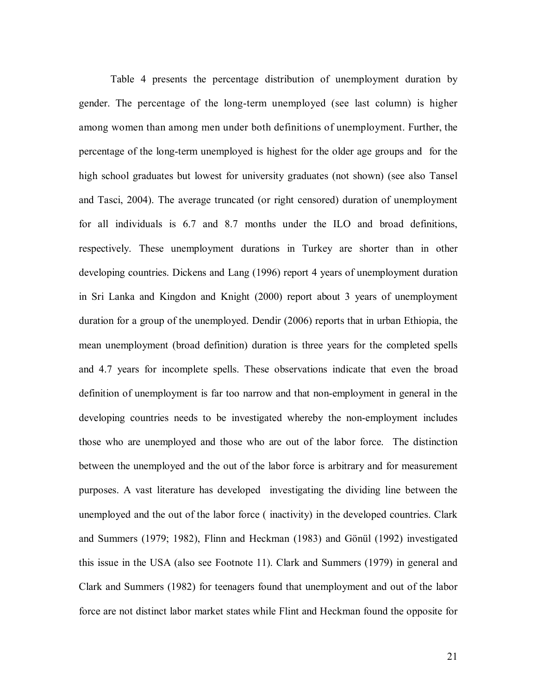Table 4 presents the percentage distribution of unemployment duration by gender. The percentage of the long-term unemployed (see last column) is higher among women than among men under both definitions of unemployment. Further, the percentage of the long-term unemployed is highest for the older age groups and for the high school graduates but lowest for university graduates (not shown) (see also Tansel and Tasci, 2004). The average truncated (or right censored) duration of unemployment for all individuals is 6.7 and 8.7 months under the ILO and broad definitions, respectively. These unemployment durations in Turkey are shorter than in other developing countries. Dickens and Lang (1996) report 4 years of unemployment duration in Sri Lanka and Kingdon and Knight (2000) report about 3 years of unemployment duration for a group of the unemployed. Dendir (2006) reports that in urban Ethiopia, the mean unemployment (broad definition) duration is three years for the completed spells and 4.7 years for incomplete spells. These observations indicate that even the broad definition of unemployment is far too narrow and that non-employment in general in the developing countries needs to be investigated whereby the non-employment includes those who are unemployed and those who are out of the labor force. The distinction between the unemployed and the out of the labor force is arbitrary and for measurement purposes. A vast literature has developed investigating the dividing line between the unemployed and the out of the labor force ( inactivity) in the developed countries. Clark and Summers (1979; 1982), Flinn and Heckman (1983) and Gönül (1992) investigated this issue in the USA (also see Footnote 11). Clark and Summers (1979) in general and Clark and Summers (1982) for teenagers found that unemployment and out of the labor force are not distinct labor market states while Flint and Heckman found the opposite for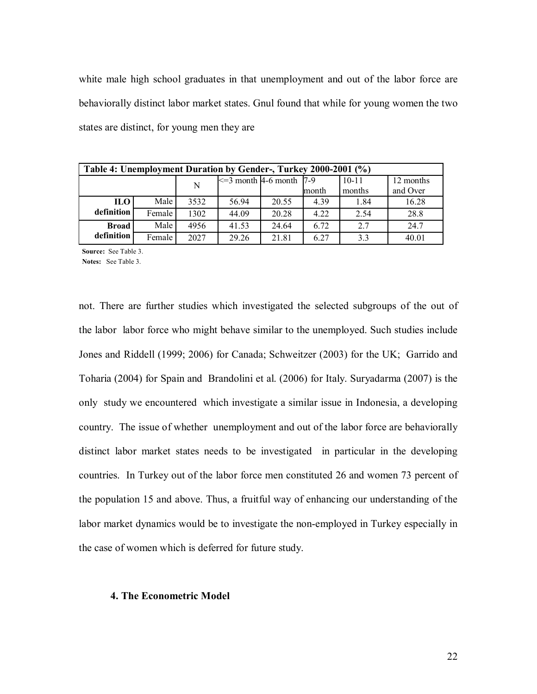white male high school graduates in that unemployment and out of the labor force are behaviorally distinct labor market states. Gnul found that while for young women the two states are distinct, for young men they are

| Table 4: Unemployment Duration by Gender-, Turkey 2000-2001 (%) |        |      |                                |       |       |           |           |
|-----------------------------------------------------------------|--------|------|--------------------------------|-------|-------|-----------|-----------|
|                                                                 |        | N    | $\leq$ = 3 month 4-6 month 7-9 |       |       | $10 - 11$ | 12 months |
|                                                                 |        |      |                                |       | month | months    | and Over  |
| <b>ILO</b>                                                      | Male   | 3532 | 56.94                          | 20.55 | 4.39  | 1.84      | 16.28     |
| definition                                                      | Female | 1302 | 44.09                          | 20.28 | 4.22  | 2.54      | 28.8      |
| <b>Broad</b>                                                    | Male   | 4956 | 41.53                          | 24.64 | 6.72  | 2.7       | 24.7      |
| definition                                                      | Female | 2027 | 29.26                          | 21.81 | 6.27  | 3.3       | 40.01     |

**Source:** See Table 3.

**Notes:** See Table 3.

not. There are further studies which investigated the selected subgroups of the out of the labor labor force who might behave similar to the unemployed. Such studies include Jones and Riddell (1999; 2006) for Canada; Schweitzer (2003) for the UK; Garrido and Toharia (2004) for Spain and Brandolini et al. (2006) for Italy. Suryadarma (2007) is the only study we encountered which investigate a similar issue in Indonesia, a developing country. The issue of whether unemployment and out of the labor force are behaviorally distinct labor market states needs to be investigated in particular in the developing countries. In Turkey out of the labor force men constituted 26 and women 73 percent of the population 15 and above. Thus, a fruitful way of enhancing our understanding of the labor market dynamics would be to investigate the non-employed in Turkey especially in the case of women which is deferred for future study.

## **4. The Econometric Model**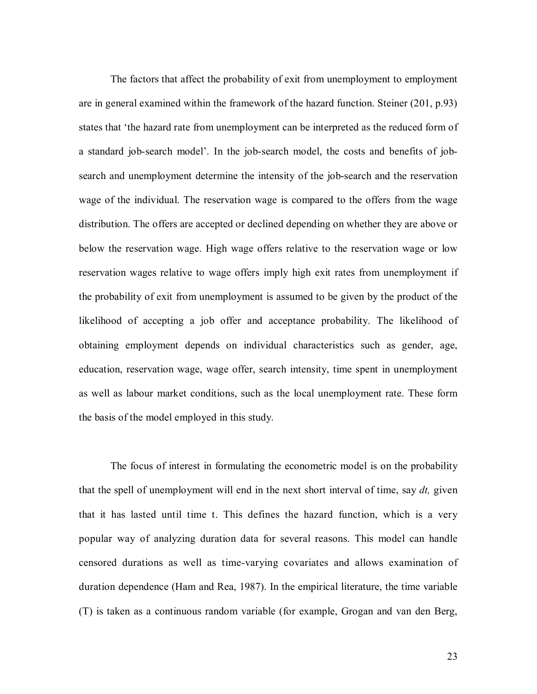The factors that affect the probability of exit from unemployment to employment are in general examined within the framework of the hazard function. Steiner (201, p.93) states that 'the hazard rate from unemployment can be interpreted as the reduced form of a standard job-search model'. In the job-search model, the costs and benefits of jobsearch and unemployment determine the intensity of the job-search and the reservation wage of the individual. The reservation wage is compared to the offers from the wage distribution. The offers are accepted or declined depending on whether they are above or below the reservation wage. High wage offers relative to the reservation wage or low reservation wages relative to wage offers imply high exit rates from unemployment if the probability of exit from unemployment is assumed to be given by the product of the likelihood of accepting a job offer and acceptance probability. The likelihood of obtaining employment depends on individual characteristics such as gender, age, education, reservation wage, wage offer, search intensity, time spent in unemployment as well as labour market conditions, such as the local unemployment rate. These form the basis of the model employed in this study.

The focus of interest in formulating the econometric model is on the probability that the spell of unemployment will end in the next short interval of time, say *dt,* given that it has lasted until time t. This defines the hazard function, which is a very popular way of analyzing duration data for several reasons. This model can handle censored durations as well as time-varying covariates and allows examination of duration dependence (Ham and Rea, 1987). In the empirical literature, the time variable (T) is taken as a continuous random variable (for example, Grogan and van den Berg,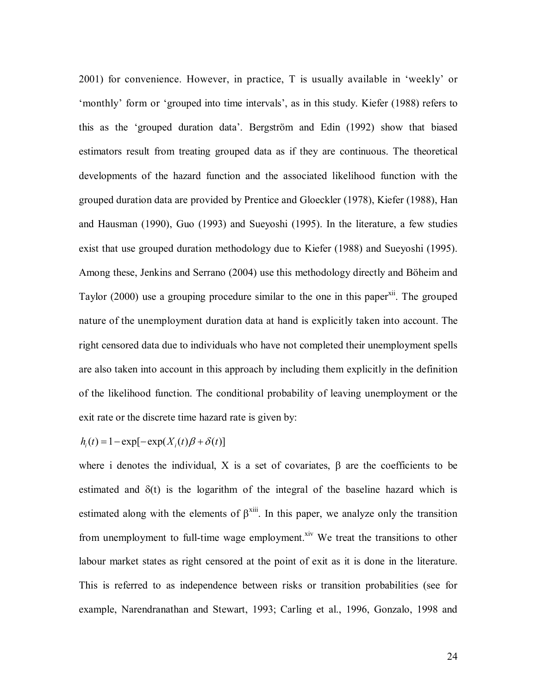2001) for convenience. However, in practice, T is usually available in 'weekly' or 'monthly' form or 'grouped into time intervals', as in this study. Kiefer (1988) refers to this as the 'grouped duration data'. Bergström and Edin (1992) show that biased estimators result from treating grouped data as if they are continuous. The theoretical developments of the hazard function and the associated likelihood function with the grouped duration data are provided by Prentice and Gloeckler (1978), Kiefer (1988), Han and Hausman (1990), Guo (1993) and Sueyoshi (1995). In the literature, a few studies exist that use grouped duration methodology due to Kiefer (1988) and Sueyoshi (1995). Among these, Jenkins and Serrano (2004) use this methodology directly and Böheim and Taylor  $(2000)$  use a grouping procedure similar to the one in this paper<sup>xii</sup>. The grouped nature of the unemployment duration data at hand is explicitly taken into account. The right censored data due to individuals who have not completed their unemployment spells are also taken into account in this approach by including them explicitly in the definition of the likelihood function. The conditional probability of leaving unemployment or the exit rate or the discrete time hazard rate is given by:

$$
h_i(t) = 1 - \exp[-\exp(X_i(t)\beta + \delta(t)]
$$

where i denotes the individual, X is a set of covariates,  $\beta$  are the coefficients to be estimated and  $\delta(t)$  is the logarithm of the integral of the baseline hazard which is estimated along with the elements of  $\beta^{xiii}$ . In this paper, we analyze only the transition from unemployment to full-time wage employment.<sup>xiv</sup> We treat the transitions to other labour market states as right censored at the point of exit as it is done in the literature. This is referred to as independence between risks or transition probabilities (see for example, Narendranathan and Stewart, 1993; Carling et al., 1996, Gonzalo, 1998 and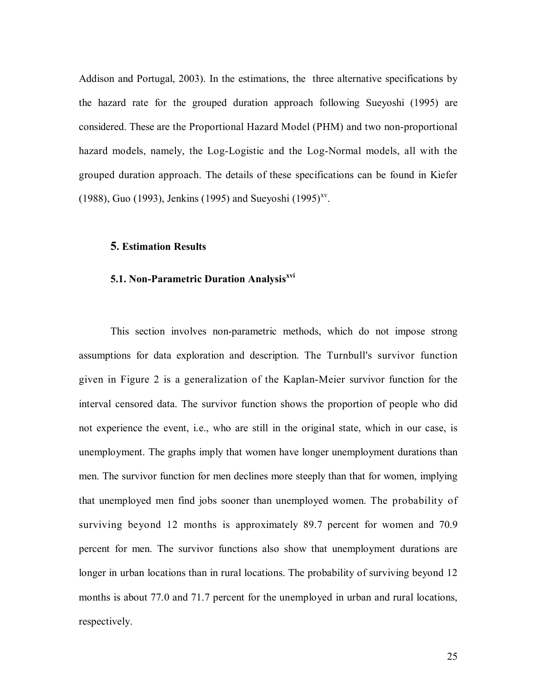Addison and Portugal, 2003). In the estimations, the three alternative specifications by the hazard rate for the grouped duration approach following Sueyoshi (1995) are considered. These are the Proportional Hazard Model (PHM) and two non-proportional hazard models, namely, the Log-Logistic and the Log-Normal models, all with the grouped duration approach. The details of these specifications can be found in Kiefer (1988), Guo (1993), Jenkins (1995) and Sueyoshi (1995)<sup>xv</sup>.

## **5. Estimation Results**

## **5.1. Non-Parametric Duration Analysisxvi**

This section involves non-parametric methods, which do not impose strong assumptions for data exploration and description. The Turnbull's survivor function given in Figure 2 is a generalization of the Kaplan-Meier survivor function for the interval censored data. The survivor function shows the proportion of people who did not experience the event, i.e., who are still in the original state, which in our case, is unemployment. The graphs imply that women have longer unemployment durations than men. The survivor function for men declines more steeply than that for women, implying that unemployed men find jobs sooner than unemployed women. The probability of surviving beyond 12 months is approximately 89.7 percent for women and 70.9 percent for men. The survivor functions also show that unemployment durations are longer in urban locations than in rural locations. The probability of surviving beyond 12 months is about 77.0 and 71.7 percent for the unemployed in urban and rural locations, respectively.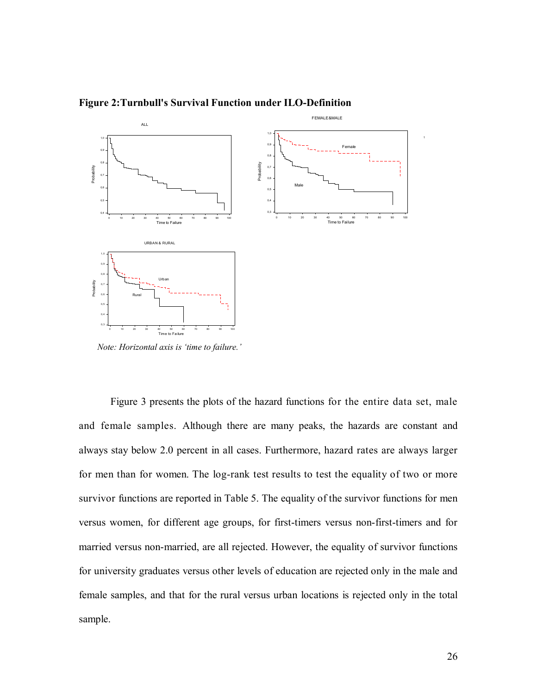

**Figure 2:Turnbull's Survival Function under ILO-Definition**

*Note: Horizontal axis is 'time to failure.'* 

Figure 3 presents the plots of the hazard functions for the entire data set, male and female samples. Although there are many peaks, the hazards are constant and always stay below 2.0 percent in all cases. Furthermore, hazard rates are always larger for men than for women. The log-rank test results to test the equality of two or more survivor functions are reported in Table 5. The equality of the survivor functions for men versus women, for different age groups, for first-timers versus non-first-timers and for married versus non-married, are all rejected. However, the equality of survivor functions for university graduates versus other levels of education are rejected only in the male and female samples, and that for the rural versus urban locations is rejected only in the total sample.

1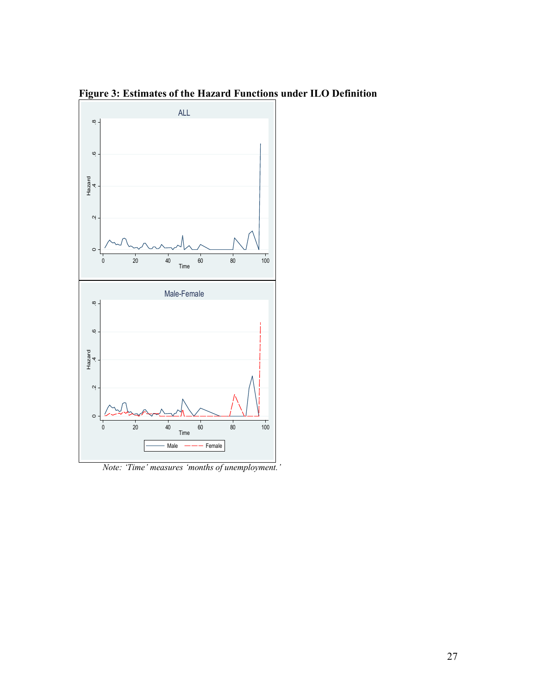**Figure 3: Estimates of the Hazard Functions under ILO Definition** 



*Note: 'Time' measures 'months of unemployment.'*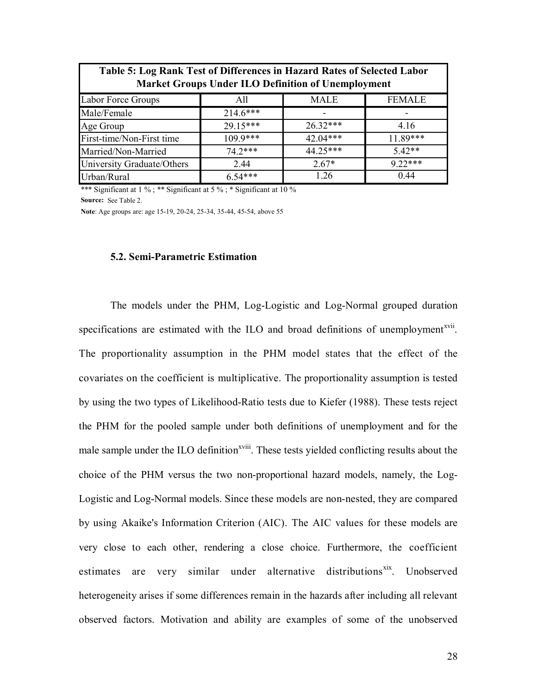| Table 5. Evg Railwa Ust of Differences in Hazard Rates of Sciected Eabor<br><b>Market Groups Under ILO Definition of Unemployment</b> |            |             |               |  |  |  |
|---------------------------------------------------------------------------------------------------------------------------------------|------------|-------------|---------------|--|--|--|
| Labor Force Groups                                                                                                                    | All        | <b>MALE</b> | <b>FEMALE</b> |  |  |  |
| Male/Female                                                                                                                           | $214.6***$ |             |               |  |  |  |
| Age Group                                                                                                                             | 29.15***   | $26.32***$  | 4.16          |  |  |  |
| First-time/Non-First time                                                                                                             | $109.9***$ | 42.04***    | $11.89***$    |  |  |  |
| Married/Non-Married                                                                                                                   | $74.2***$  | $44.25***$  | $5.42**$      |  |  |  |
| University Graduate/Others                                                                                                            | 2.44       | $2.67*$     | $9.22***$     |  |  |  |
| Urban/Rural                                                                                                                           | $6.54***$  | 1.26        | 0.44          |  |  |  |

**Table 5: Log Rank Test of Differences in Hazard Rates of Selected Labor** 

**Source:** See Table 2. \*\*\* Significant at 1 % ; \*\* Significant at 5 % ; \* Significant at 10 %

**Note**: Age groups are: age 15-19, 20-24, 25-34, 35-44, 45-54, above 55

Г

#### **5.2. Semi-Parametric Estimation**

The models under the PHM, Log-Logistic and Log-Normal grouped duration specifications are estimated with the ILO and broad definitions of unemployment<sup>xvii</sup>. The proportionality assumption in the PHM model states that the effect of the covariates on the coefficient is multiplicative. The proportionality assumption is tested by using the two types of Likelihood-Ratio tests due to Kiefer (1988). These tests reject the PHM for the pooled sample under both definitions of unemployment and for the male sample under the ILO definition<sup>xviii</sup>. These tests yielded conflicting results about the choice of the PHM versus the two non-proportional hazard models, namely, the Log-Logistic and Log-Normal models. Since these models are non-nested, they are compared by using Akaike's Information Criterion (AIC). The AIC values for these models are very close to each other, rendering a close choice. Furthermore, the coefficient estimates are very similar under alternative distributions<sup>xix</sup>. Unobserved heterogeneity arises if some differences remain in the hazards after including all relevant observed factors. Motivation and ability are examples of some of the unobserved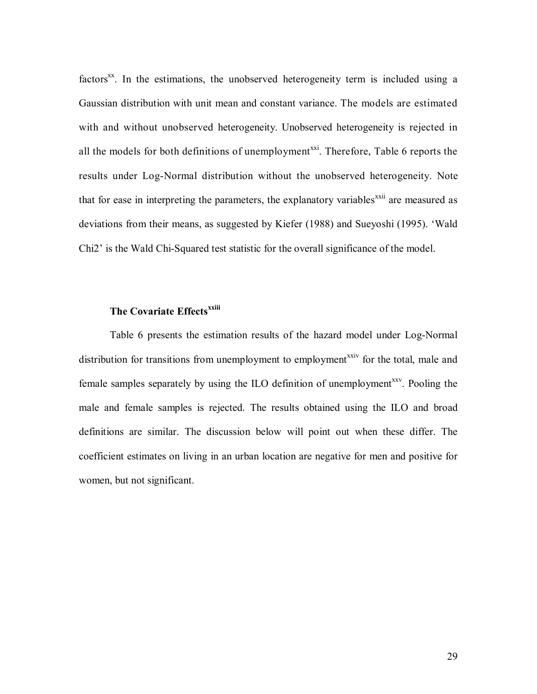factors<sup>xx</sup>. In the estimations, the unobserved heterogeneity term is included using a Gaussian distribution with unit mean and constant variance. The models are estimated with and without unobserved heterogeneity. Unobserved heterogeneity is rejected in all the models for both definitions of unemployment<sup>xxi</sup>. Therefore, Table 6 reports the results under Log-Normal distribution without the unobserved heterogeneity. Note that for ease in interpreting the parameters, the explanatory variables<sup>xxii</sup> are measured as deviations from their means, as suggested by Kiefer (1988) and Sueyoshi (1995). 'Wald Chi2' is the Wald Chi-Squared test statistic for the overall significance of the model.

## **The Covariate Effectsxxiii**

Table 6 presents the estimation results of the hazard model under Log-Normal distribution for transitions from unemployment to employment<sup>xxiv</sup> for the total, male and female samples separately by using the ILO definition of unemployment<sup>xxv</sup>. Pooling the male and female samples is rejected. The results obtained using the ILO and broad definitions are similar. The discussion below will point out when these differ. The coefficient estimates on living in an urban location are negative for men and positive for women, but not significant.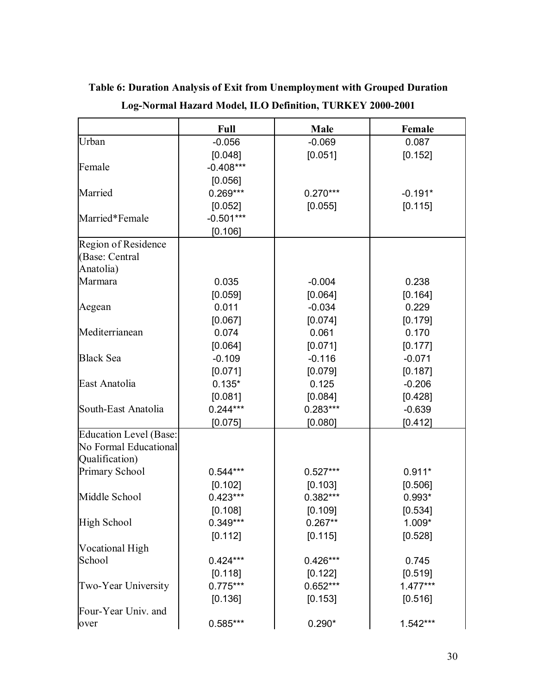|                               | <b>Full</b> | Male       | Female    |
|-------------------------------|-------------|------------|-----------|
| Urban                         | $-0.056$    | $-0.069$   | 0.087     |
|                               | [0.048]     | [0.051]    | [0.152]   |
| Female                        | $-0.408***$ |            |           |
|                               | [0.056]     |            |           |
| Married                       | $0.269***$  | $0.270***$ | $-0.191*$ |
|                               | [0.052]     | [0.055]    | [0.115]   |
| Married*Female                | $-0.501***$ |            |           |
|                               | [0.106]     |            |           |
| Region of Residence           |             |            |           |
| (Base: Central                |             |            |           |
| Anatolia)                     |             |            |           |
| Marmara                       | 0.035       | $-0.004$   | 0.238     |
|                               | [0.059]     | [0.064]    | [0.164]   |
| Aegean                        | 0.011       | $-0.034$   | 0.229     |
|                               | [0.067]     | [0.074]    | [0.179]   |
| Mediterrianean                | 0.074       | 0.061      | 0.170     |
|                               | [0.064]     | [0.071]    | [0.177]   |
| <b>Black Sea</b>              | $-0.109$    | $-0.116$   | $-0.071$  |
|                               | [0.071]     | [0.079]    | [0.187]   |
| East Anatolia                 | $0.135*$    | 0.125      | $-0.206$  |
|                               | [0.081]     | [0.084]    | [0.428]   |
| South-East Anatolia           | $0.244***$  | $0.283***$ | $-0.639$  |
|                               | [0.075]     | [0.080]    | [0.412]   |
| <b>Education Level (Base:</b> |             |            |           |
| No Formal Educational         |             |            |           |
| Qualification)                |             |            |           |
| Primary School                | $0.544***$  | $0.527***$ | $0.911*$  |
|                               | [0.102]     | [0.103]    | [0.506]   |
| Middle School                 | $0.423***$  | $0.382***$ | $0.993*$  |
|                               | [0.108]     | [0.109]    | [0.534]   |
| High School                   | $0.349***$  | $0.267**$  | $1.009*$  |
|                               | [0.112]     | [0.115]    | [0.528]   |
| Vocational High               |             |            |           |
| School                        | $0.424***$  | $0.426***$ | 0.745     |
|                               | [0.118]     | [0.122]    | [0.519]   |
| Two-Year University           | $0.775***$  | 0.652***   | 1.477***  |
|                               | [0.136]     | [0.153]    | [0.516]   |
| Four-Year Univ. and           |             |            |           |
| over                          | $0.585***$  | $0.290*$   | 1.542***  |

**Table 6: Duration Analysis of Exit from Unemployment with Grouped Duration Log-Normal Hazard Model, ILO Definition, TURKEY 2000-2001**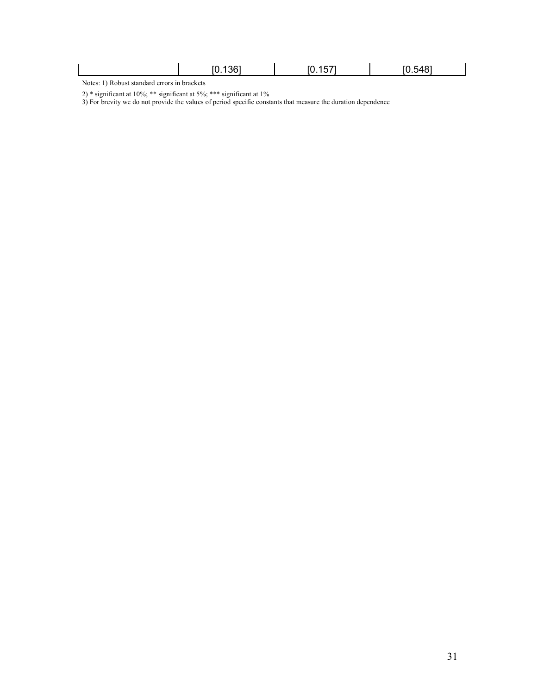|                            | .1367<br>ſ٨ | .<br>- -<br>. . | $F \cap F A \cap T$<br>''<br>JД |
|----------------------------|-------------|-----------------|---------------------------------|
| $\mathbf{X}$<br>$\sqrt{ }$ |             |                 |                                 |

Notes: 1) Robust standard errors in brackets

2) \* significant at 10%; \*\* significant at 5%; \*\*\* significant at 1%

3) For brevity we do not provide the values of period specific constants that measure the duration dependence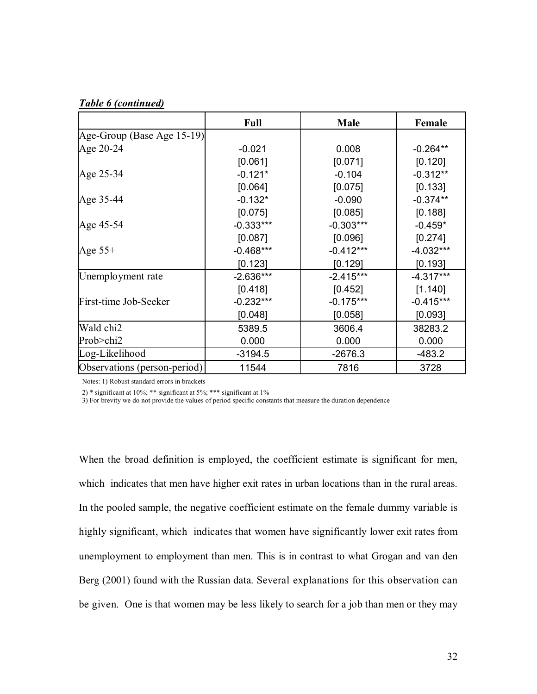## *Table 6 (continued)*

|                              | <b>Full</b> | Male        | Female      |
|------------------------------|-------------|-------------|-------------|
| Age-Group (Base Age 15-19)   |             |             |             |
| Age 20-24                    | $-0.021$    | 0.008       | $-0.264**$  |
|                              | [0.061]     | [0.071]     | [0.120]     |
| Age 25-34                    | $-0.121*$   | $-0.104$    | $-0.312**$  |
|                              | [0.064]     | [0.075]     | [0.133]     |
| Age 35-44                    | $-0.132*$   | $-0.090$    | $-0.374**$  |
|                              | [0.075]     | [0.085]     | [0.188]     |
| Age 45-54                    | $-0.333***$ | $-0.303***$ | $-0.459*$   |
|                              | [0.087]     | [0.096]     | [0.274]     |
| Age $55+$                    | $-0.468***$ | $-0.412***$ | $-4.032***$ |
|                              | [0.123]     | [0.129]     | [0.193]     |
| Unemployment rate            | $-2.636***$ | $-2.415***$ | $-4.317***$ |
|                              | [0.418]     | [0.452]     | [1.140]     |
| First-time Job-Seeker        | $-0.232***$ | $-0.175***$ | $-0.415***$ |
|                              | [0.048]     | [0.058]     | [0.093]     |
| Wald chi2                    | 5389.5      | 3606.4      | 38283.2     |
| Prob>chi2                    | 0.000       | 0.000       | 0.000       |
| Log-Likelihood               | $-3194.5$   | $-2676.3$   | $-483.2$    |
| Observations (person-period) | 11544       | 7816        | 3728        |

Notes: 1) Robust standard errors in brackets

2) \* significant at 10%; \*\* significant at 5%; \*\*\* significant at 1%

3) For brevity we do not provide the values of period specific constants that measure the duration dependence

When the broad definition is employed, the coefficient estimate is significant for men, which indicates that men have higher exit rates in urban locations than in the rural areas. In the pooled sample, the negative coefficient estimate on the female dummy variable is highly significant, which indicates that women have significantly lower exit rates from unemployment to employment than men. This is in contrast to what Grogan and van den Berg (2001) found with the Russian data. Several explanations for this observation can be given. One is that women may be less likely to search for a job than men or they may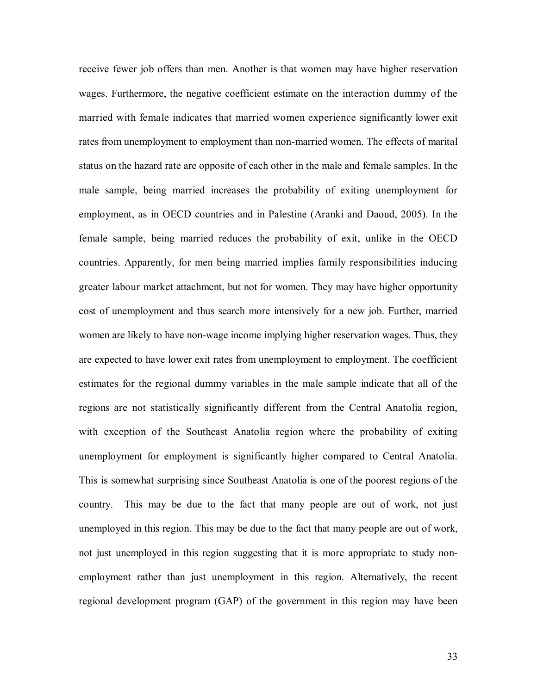receive fewer job offers than men. Another is that women may have higher reservation wages. Furthermore, the negative coefficient estimate on the interaction dummy of the married with female indicates that married women experience significantly lower exit rates from unemployment to employment than non-married women. The effects of marital status on the hazard rate are opposite of each other in the male and female samples. In the male sample, being married increases the probability of exiting unemployment for employment, as in OECD countries and in Palestine (Aranki and Daoud, 2005). In the female sample, being married reduces the probability of exit, unlike in the OECD countries. Apparently, for men being married implies family responsibilities inducing greater labour market attachment, but not for women. They may have higher opportunity cost of unemployment and thus search more intensively for a new job. Further, married women are likely to have non-wage income implying higher reservation wages. Thus, they are expected to have lower exit rates from unemployment to employment. The coefficient estimates for the regional dummy variables in the male sample indicate that all of the regions are not statistically significantly different from the Central Anatolia region, with exception of the Southeast Anatolia region where the probability of exiting unemployment for employment is significantly higher compared to Central Anatolia. This is somewhat surprising since Southeast Anatolia is one of the poorest regions of the country. This may be due to the fact that many people are out of work, not just unemployed in this region. This may be due to the fact that many people are out of work, not just unemployed in this region suggesting that it is more appropriate to study nonemployment rather than just unemployment in this region. Alternatively, the recent regional development program (GAP) of the government in this region may have been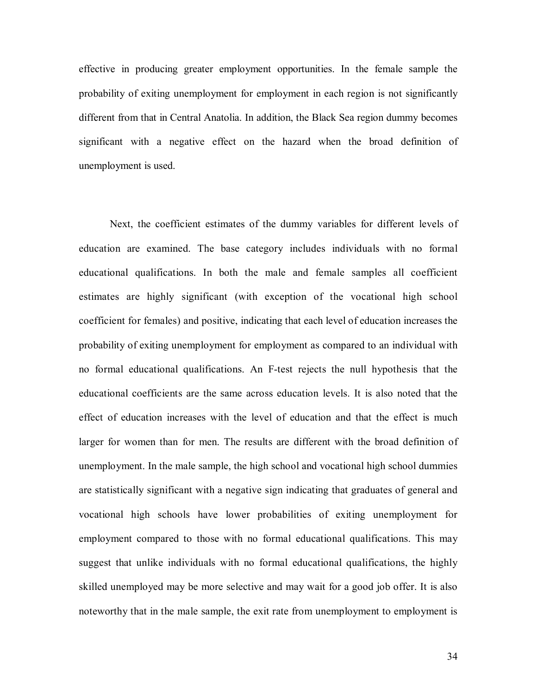effective in producing greater employment opportunities. In the female sample the probability of exiting unemployment for employment in each region is not significantly different from that in Central Anatolia. In addition, the Black Sea region dummy becomes significant with a negative effect on the hazard when the broad definition of unemployment is used.

Next, the coefficient estimates of the dummy variables for different levels of education are examined. The base category includes individuals with no formal educational qualifications. In both the male and female samples all coefficient estimates are highly significant (with exception of the vocational high school coefficient for females) and positive, indicating that each level of education increases the probability of exiting unemployment for employment as compared to an individual with no formal educational qualifications. An F-test rejects the null hypothesis that the educational coefficients are the same across education levels. It is also noted that the effect of education increases with the level of education and that the effect is much larger for women than for men. The results are different with the broad definition of unemployment. In the male sample, the high school and vocational high school dummies are statistically significant with a negative sign indicating that graduates of general and vocational high schools have lower probabilities of exiting unemployment for employment compared to those with no formal educational qualifications. This may suggest that unlike individuals with no formal educational qualifications, the highly skilled unemployed may be more selective and may wait for a good job offer. It is also noteworthy that in the male sample, the exit rate from unemployment to employment is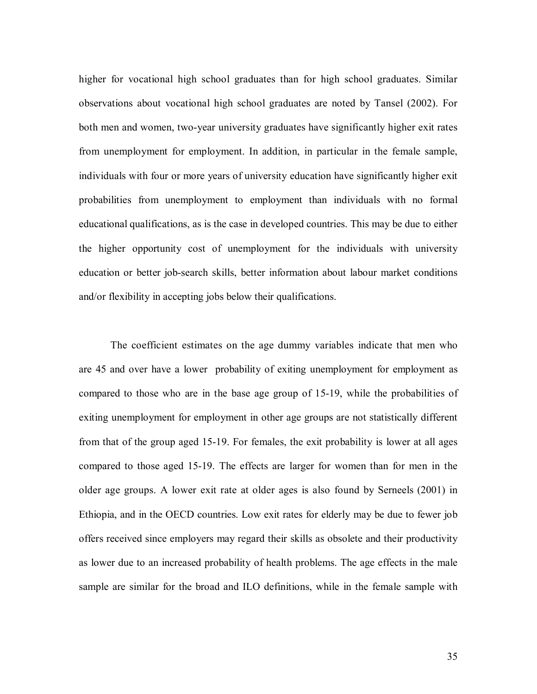higher for vocational high school graduates than for high school graduates. Similar observations about vocational high school graduates are noted by Tansel (2002). For both men and women, two-year university graduates have significantly higher exit rates from unemployment for employment. In addition, in particular in the female sample, individuals with four or more years of university education have significantly higher exit probabilities from unemployment to employment than individuals with no formal educational qualifications, as is the case in developed countries. This may be due to either the higher opportunity cost of unemployment for the individuals with university education or better job-search skills, better information about labour market conditions and/or flexibility in accepting jobs below their qualifications.

The coefficient estimates on the age dummy variables indicate that men who are 45 and over have a lower probability of exiting unemployment for employment as compared to those who are in the base age group of 15-19, while the probabilities of exiting unemployment for employment in other age groups are not statistically different from that of the group aged 15-19. For females, the exit probability is lower at all ages compared to those aged 15-19. The effects are larger for women than for men in the older age groups. A lower exit rate at older ages is also found by Serneels (2001) in Ethiopia, and in the OECD countries. Low exit rates for elderly may be due to fewer job offers received since employers may regard their skills as obsolete and their productivity as lower due to an increased probability of health problems. The age effects in the male sample are similar for the broad and ILO definitions, while in the female sample with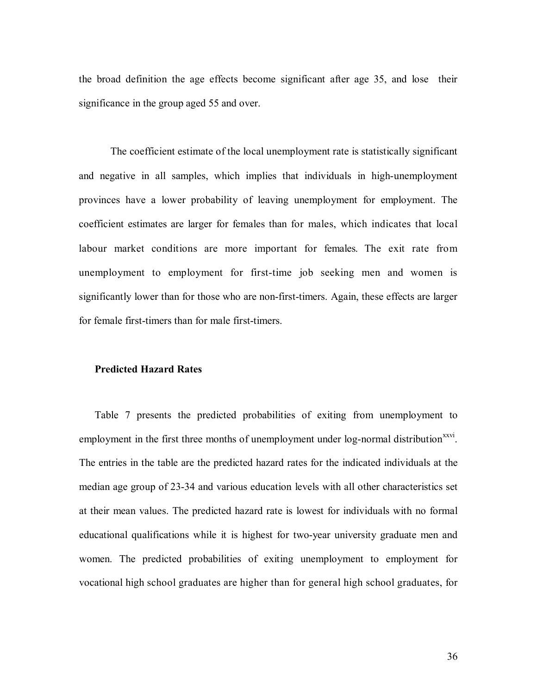the broad definition the age effects become significant after age 35, and lose their significance in the group aged 55 and over.

The coefficient estimate of the local unemployment rate is statistically significant and negative in all samples, which implies that individuals in high-unemployment provinces have a lower probability of leaving unemployment for employment. The coefficient estimates are larger for females than for males, which indicates that local labour market conditions are more important for females. The exit rate from unemployment to employment for first-time job seeking men and women is significantly lower than for those who are non-first-timers. Again, these effects are larger for female first-timers than for male first-timers.

#### **Predicted Hazard Rates**

Table 7 presents the predicted probabilities of exiting from unemployment to employment in the first three months of unemployment under log-normal distribution<sup>xxvi</sup>. The entries in the table are the predicted hazard rates for the indicated individuals at the median age group of 23-34 and various education levels with all other characteristics set at their mean values. The predicted hazard rate is lowest for individuals with no formal educational qualifications while it is highest for two-year university graduate men and women. The predicted probabilities of exiting unemployment to employment for vocational high school graduates are higher than for general high school graduates, for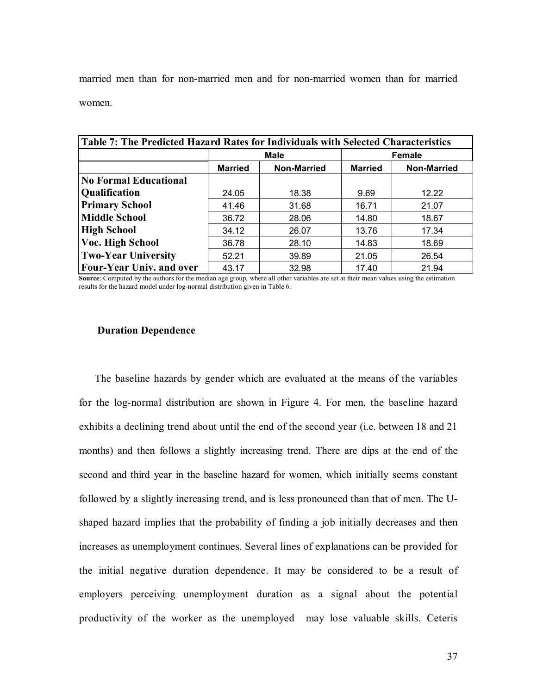married men than for non-married men and for non-married women than for married women.

| Table 7: The Predicted Hazard Rates for Individuals with Selected Characteristics |                |                    |                |                    |  |  |
|-----------------------------------------------------------------------------------|----------------|--------------------|----------------|--------------------|--|--|
|                                                                                   |                | <b>Male</b>        | Female         |                    |  |  |
|                                                                                   | <b>Married</b> | <b>Non-Married</b> | <b>Married</b> | <b>Non-Married</b> |  |  |
| <b>No Formal Educational</b>                                                      |                |                    |                |                    |  |  |
| Qualification                                                                     | 24.05          | 18.38              | 9.69           | 12.22              |  |  |
| <b>Primary School</b>                                                             | 41.46          | 31.68              | 16.71          | 21.07              |  |  |
| <b>Middle School</b>                                                              | 36.72          | 28.06              | 14.80          | 18.67              |  |  |
| <b>High School</b>                                                                | 34.12          | 26.07              | 13.76          | 17.34              |  |  |
| Voc. High School                                                                  | 36.78          | 28.10              | 14.83          | 18.69              |  |  |
| <b>Two-Year University</b>                                                        | 52.21          | 39.89              | 21.05          | 26.54              |  |  |
| <b>Four-Year Univ. and over</b>                                                   | 43.17          | 32.98              | 17.40          | 21.94              |  |  |

**Source**: Computed by the authors for the median age group, where all other variables are set at their mean values using the estimation results for the hazard model under log-normal distribution given in Table 6.

### **Duration Dependence**

The baseline hazards by gender which are evaluated at the means of the variables for the log-normal distribution are shown in Figure 4. For men, the baseline hazard exhibits a declining trend about until the end of the second year (i.e. between 18 and 21 months) and then follows a slightly increasing trend. There are dips at the end of the second and third year in the baseline hazard for women, which initially seems constant followed by a slightly increasing trend, and is less pronounced than that of men. The Ushaped hazard implies that the probability of finding a job initially decreases and then increases as unemployment continues. Several lines of explanations can be provided for the initial negative duration dependence. It may be considered to be a result of employers perceiving unemployment duration as a signal about the potential productivity of the worker as the unemployed may lose valuable skills. Ceteris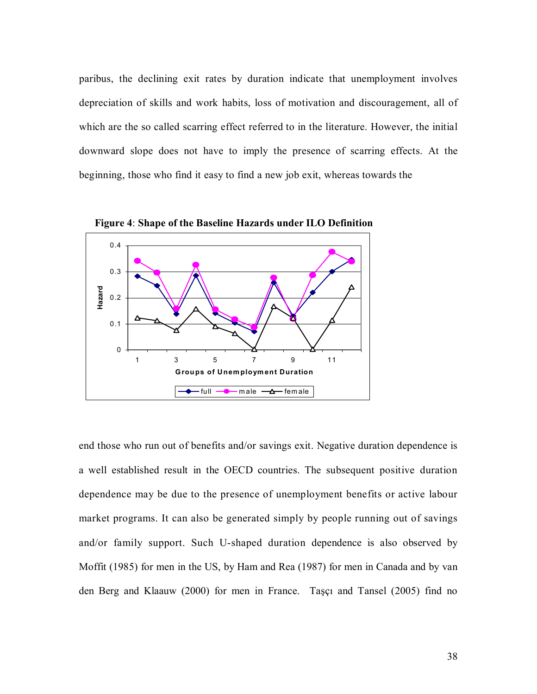paribus, the declining exit rates by duration indicate that unemployment involves depreciation of skills and work habits, loss of motivation and discouragement, all of which are the so called scarring effect referred to in the literature. However, the initial downward slope does not have to imply the presence of scarring effects. At the beginning, those who find it easy to find a new job exit, whereas towards the



**Figure 4**: **Shape of the Baseline Hazards under ILO Definition**

end those who run out of benefits and/or savings exit. Negative duration dependence is a well established result in the OECD countries. The subsequent positive duration dependence may be due to the presence of unemployment benefits or active labour market programs. It can also be generated simply by people running out of savings and/or family support. Such U-shaped duration dependence is also observed by Moffit (1985) for men in the US, by Ham and Rea (1987) for men in Canada and by van den Berg and Klaauw (2000) for men in France. Taşçı and Tansel (2005) find no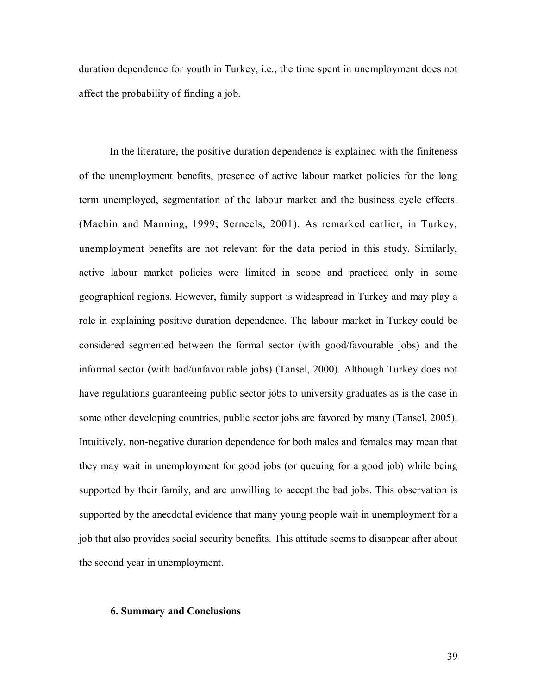duration dependence for youth in Turkey, i.e., the time spent in unemployment does not affect the probability of finding a job.

In the literature, the positive duration dependence is explained with the finiteness of the unemployment benefits, presence of active labour market policies for the long term unemployed, segmentation of the labour market and the business cycle effects. (Machin and Manning, 1999; Serneels, 2001). As remarked earlier, in Turkey, unemployment benefits are not relevant for the data period in this study. Similarly, active labour market policies were limited in scope and practiced only in some geographical regions. However, family support is widespread in Turkey and may play a role in explaining positive duration dependence. The labour market in Turkey could be considered segmented between the formal sector (with good/favourable jobs) and the informal sector (with bad/unfavourable jobs) (Tansel, 2000). Although Turkey does not have regulations guaranteeing public sector jobs to university graduates as is the case in some other developing countries, public sector jobs are favored by many (Tansel, 2005). Intuitively, non-negative duration dependence for both males and females may mean that they may wait in unemployment for good jobs (or queuing for a good job) while being supported by their family, and are unwilling to accept the bad jobs. This observation is supported by the anecdotal evidence that many young people wait in unemployment for a job that also provides social security benefits. This attitude seems to disappear after about the second year in unemployment.

### **6. Summary and Conclusions**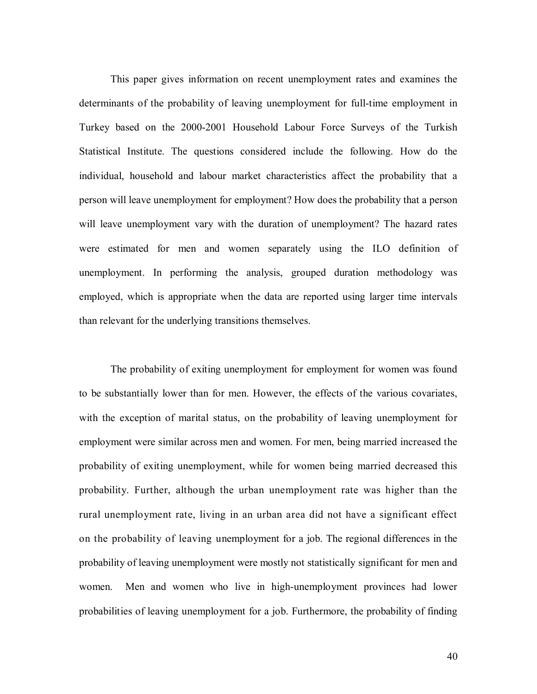This paper gives information on recent unemployment rates and examines the determinants of the probability of leaving unemployment for full-time employment in Turkey based on the 2000-2001 Household Labour Force Surveys of the Turkish Statistical Institute. The questions considered include the following. How do the individual, household and labour market characteristics affect the probability that a person will leave unemployment for employment? How does the probability that a person will leave unemployment vary with the duration of unemployment? The hazard rates were estimated for men and women separately using the ILO definition of unemployment. In performing the analysis, grouped duration methodology was employed, which is appropriate when the data are reported using larger time intervals than relevant for the underlying transitions themselves.

The probability of exiting unemployment for employment for women was found to be substantially lower than for men. However, the effects of the various covariates, with the exception of marital status, on the probability of leaving unemployment for employment were similar across men and women. For men, being married increased the probability of exiting unemployment, while for women being married decreased this probability. Further, although the urban unemployment rate was higher than the rural unemployment rate, living in an urban area did not have a significant effect on the probability of leaving unemployment for a job. The regional differences in the probability of leaving unemployment were mostly not statistically significant for men and women. Men and women who live in high-unemployment provinces had lower probabilities of leaving unemployment for a job. Furthermore, the probability of finding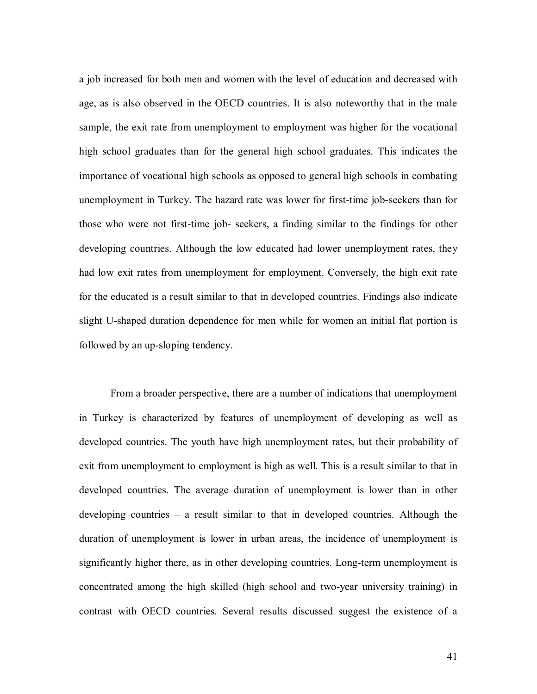a job increased for both men and women with the level of education and decreased with age, as is also observed in the OECD countries. It is also noteworthy that in the male sample, the exit rate from unemployment to employment was higher for the vocational high school graduates than for the general high school graduates. This indicates the importance of vocational high schools as opposed to general high schools in combating unemployment in Turkey. The hazard rate was lower for first-time job-seekers than for those who were not first-time job- seekers, a finding similar to the findings for other developing countries. Although the low educated had lower unemployment rates, they had low exit rates from unemployment for employment. Conversely, the high exit rate for the educated is a result similar to that in developed countries. Findings also indicate slight U-shaped duration dependence for men while for women an initial flat portion is followed by an up-sloping tendency.

From a broader perspective, there are a number of indications that unemployment in Turkey is characterized by features of unemployment of developing as well as developed countries. The youth have high unemployment rates, but their probability of exit from unemployment to employment is high as well. This is a result similar to that in developed countries. The average duration of unemployment is lower than in other developing countries – a result similar to that in developed countries. Although the duration of unemployment is lower in urban areas, the incidence of unemployment is significantly higher there, as in other developing countries. Long-term unemployment is concentrated among the high skilled (high school and two-year university training) in contrast with OECD countries. Several results discussed suggest the existence of a

41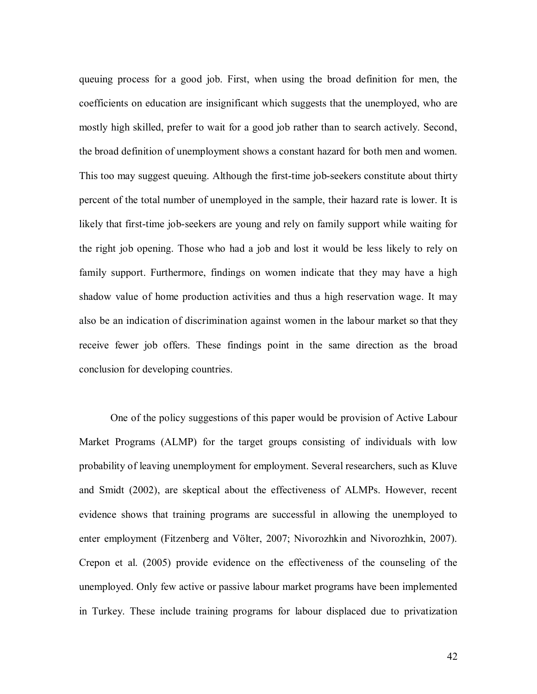queuing process for a good job. First, when using the broad definition for men, the coefficients on education are insignificant which suggests that the unemployed, who are mostly high skilled, prefer to wait for a good job rather than to search actively. Second, the broad definition of unemployment shows a constant hazard for both men and women. This too may suggest queuing. Although the first-time job-seekers constitute about thirty percent of the total number of unemployed in the sample, their hazard rate is lower. It is likely that first-time job-seekers are young and rely on family support while waiting for the right job opening. Those who had a job and lost it would be less likely to rely on family support. Furthermore, findings on women indicate that they may have a high shadow value of home production activities and thus a high reservation wage. It may also be an indication of discrimination against women in the labour market so that they receive fewer job offers. These findings point in the same direction as the broad conclusion for developing countries.

One of the policy suggestions of this paper would be provision of Active Labour Market Programs (ALMP) for the target groups consisting of individuals with low probability of leaving unemployment for employment. Several researchers, such as Kluve and Smidt (2002), are skeptical about the effectiveness of ALMPs. However, recent evidence shows that training programs are successful in allowing the unemployed to enter employment (Fitzenberg and Völter, 2007; Nivorozhkin and Nivorozhkin, 2007). Crepon et al. (2005) provide evidence on the effectiveness of the counseling of the unemployed. Only few active or passive labour market programs have been implemented in Turkey. These include training programs for labour displaced due to privatization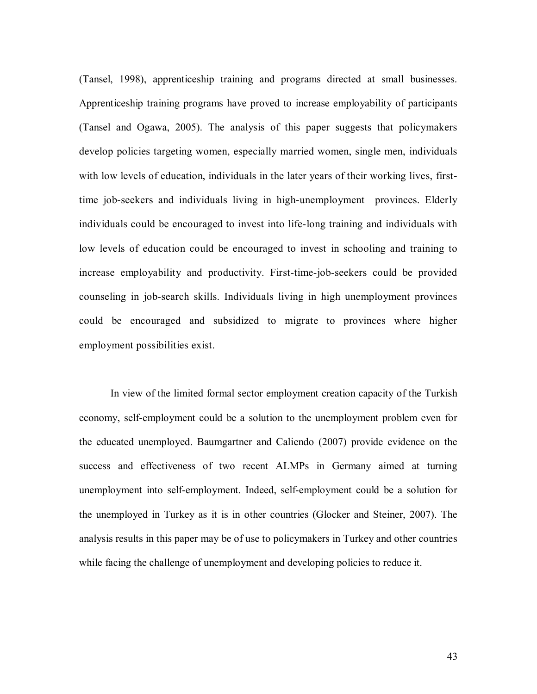(Tansel, 1998), apprenticeship training and programs directed at small businesses. Apprenticeship training programs have proved to increase employability of participants (Tansel and Ogawa, 2005). The analysis of this paper suggests that policymakers develop policies targeting women, especially married women, single men, individuals with low levels of education, individuals in the later years of their working lives, firsttime job-seekers and individuals living in high-unemployment provinces. Elderly individuals could be encouraged to invest into life-long training and individuals with low levels of education could be encouraged to invest in schooling and training to increase employability and productivity. First-time-job-seekers could be provided counseling in job-search skills. Individuals living in high unemployment provinces could be encouraged and subsidized to migrate to provinces where higher employment possibilities exist.

In view of the limited formal sector employment creation capacity of the Turkish economy, self-employment could be a solution to the unemployment problem even for the educated unemployed. Baumgartner and Caliendo (2007) provide evidence on the success and effectiveness of two recent ALMPs in Germany aimed at turning unemployment into self-employment. Indeed, self-employment could be a solution for the unemployed in Turkey as it is in other countries (Glocker and Steiner, 2007). The analysis results in this paper may be of use to policymakers in Turkey and other countries while facing the challenge of unemployment and developing policies to reduce it.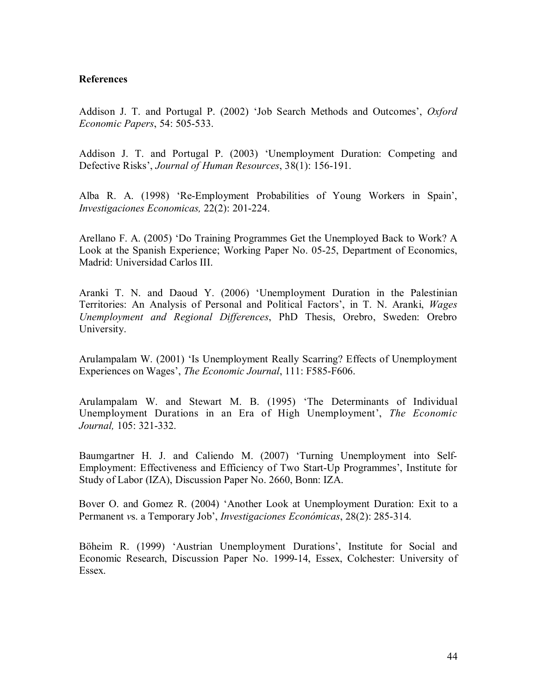## **References**

Addison J. T. and Portugal P. (2002) 'Job Search Methods and Outcomes', *Oxford Economic Papers*, 54: 505-533.

Addison J. T. and Portugal P. (2003) 'Unemployment Duration: Competing and Defective Risks', *Journal of Human Resources*, 38(1): 156-191.

Alba R. A. (1998) 'Re-Employment Probabilities of Young Workers in Spain', *Investigaciones Economicas,* 22(2): 201-224.

Arellano F. A. (2005) 'Do Training Programmes Get the Unemployed Back to Work? A Look at the Spanish Experience; Working Paper No. 05-25, Department of Economics, Madrid: Universidad Carlos III.

Aranki T. N. and Daoud Y. (2006) 'Unemployment Duration in the Palestinian Territories: An Analysis of Personal and Political Factors', in T. N. Aranki, *Wages Unemployment and Regional Differences*, PhD Thesis, Orebro, Sweden: Orebro University.

Arulampalam W. (2001) 'Is Unemployment Really Scarring? Effects of Unemployment Experiences on Wages', *The Economic Journal*, 111: F585-F606.

Arulampalam W. and Stewart M. B. (1995) 'The Determinants of Individual Unemployment Durations in an Era of High Unemployment', *The Economic Journal,* 105: 321-332.

Baumgartner H. J. and Caliendo M. (2007) 'Turning Unemployment into Self-Employment: Effectiveness and Efficiency of Two Start-Up Programmes', Institute for Study of Labor (IZA), Discussion Paper No. 2660, Bonn: IZA.

Bover O. and Gomez R. (2004) 'Another Look at Unemployment Duration: Exit to a Permanent *v*s. a Temporary Job', *Investigaciones Económicas*, 28(2): 285-314.

Böheim R. (1999) 'Austrian Unemployment Durations', Institute for Social and Economic Research, Discussion Paper No. 1999-14, Essex, Colchester: University of Essex.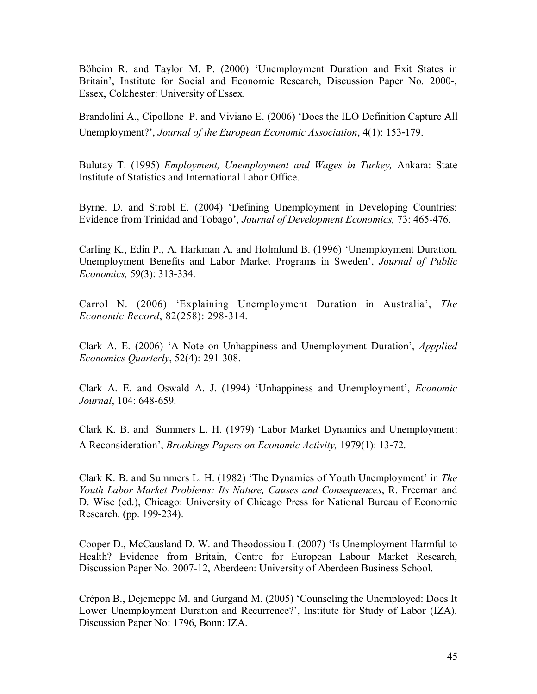Böheim R. and Taylor M. P. (2000) 'Unemployment Duration and Exit States in Britain', Institute for Social and Economic Research, Discussion Paper No*.* 2000-, Essex, Colchester: University of Essex.

Brandolini A., Cipollone P. and Viviano E. (2006) 'Does the ILO Definition Capture All Unemployment?', *Journal of the European Economic Association*, 4(1): 153‐179.

Bulutay T. (1995) *Employment, Unemployment and Wages in Turkey,* Ankara: State Institute of Statistics and International Labor Office.

Byrne, D. and Strobl E. (2004) 'Defining Unemployment in Developing Countries: Evidence from Trinidad and Tobago', *Journal of Development Economics,* 73: 465-476.

Carling K., Edin P., A. Harkman A. and Holmlund B. (1996) 'Unemployment Duration, Unemployment Benefits and Labor Market Programs in Sweden', *Journal of Public Economics,* 59(3): 313-334.

Carrol N. (2006) 'Explaining Unemployment Duration in Australia', *The Economic Record*, 82(258): 298-314.

Clark A. E. (2006) 'A Note on Unhappiness and Unemployment Duration', *Appplied Economics Quarterly*, 52(4): 291-308.

Clark A. E. and Oswald A. J. (1994) 'Unhappiness and Unemployment', *Economic Journal*, 104: 648-659.

Clark K. B. and Summers L. H. (1979) 'Labor Market Dynamics and Unemployment: A Reconsideration', *Brookings Papers on Economic Activity,* 1979(1): 13‐72.

Clark K. B. and Summers L. H. (1982) 'The Dynamics of Youth Unemployment' in *The Youth Labor Market Problems: Its Nature, Causes and Consequences*, R. Freeman and D. Wise (ed.), Chicago: University of Chicago Press for National Bureau of Economic Research. (pp. 199-234).

Cooper D., McCausland D. W. and Theodossiou I. (2007) 'Is Unemployment Harmful to Health? Evidence from Britain, Centre for European Labour Market Research, Discussion Paper No. 2007-12, Aberdeen: University of Aberdeen Business School.

Crépon B., Dejemeppe M. and Gurgand M. (2005) 'Counseling the Unemployed: Does It Lower Unemployment Duration and Recurrence?', Institute for Study of Labor (IZA). Discussion Paper No: 1796, Bonn: IZA.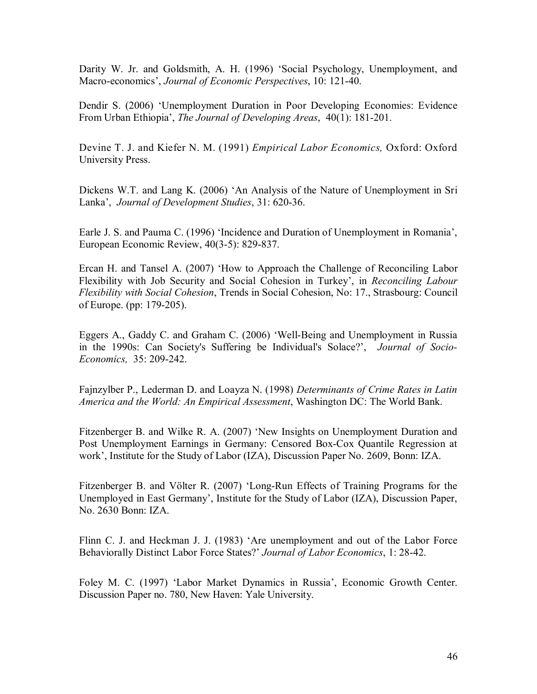Darity W. Jr. and Goldsmith, A. H. (1996) 'Social Psychology, Unemployment, and Macro-economics', *Journal of Economic Perspectives*, 10: 121-40.

Dendir S. (2006) 'Unemployment Duration in Poor Developing Economies: Evidence From Urban Ethiopia', *The Journal of Developing Areas*, 40(1): 181-201.

Devine T. J. and Kiefer N. M. (1991) *Empirical Labor Economics,* Oxford: Oxford University Press.

Dickens W.T. and Lang K. (2006) 'An Analysis of the Nature of Unemployment in Sri Lanka', *Journal of Development Studies*, 31: 620-36.

Earle J. S. and Pauma C. (1996) 'Incidence and Duration of Unemployment in Romania', European Economic Review, 40(3-5): 829-837.

Ercan H. and Tansel A. (2007) 'How to Approach the Challenge of Reconciling Labor Flexibility with Job Security and Social Cohesion in Turkey', in *Reconciling Labour Flexibility with Social Cohesion*, Trends in Social Cohesion, No: 17., Strasbourg: Council of Europe. (pp: 179-205).

Eggers A., Gaddy C. and Graham C. (2006) 'Well-Being and Unemployment in Russia in the 1990s: Can Society's Suffering be Individual's Solace?', *Journal of Socio-Economics,* 35: 209-242.

Fajnzylber P., Lederman D. and Loayza N. (1998) *Determinants of Crime Rates in Latin America and the World: An Empirical Assessment*, Washington DC: The World Bank.

Fitzenberger B. and Wilke R. A. (2007) 'New Insights on Unemployment Duration and Post Unemployment Earnings in Germany: Censored Box-Cox Quantile Regression at work', Institute for the Study of Labor (IZA), Discussion Paper No. 2609, Bonn: IZA.

Fitzenberger B. and Völter R. (2007) 'Long-Run Effects of Training Programs for the Unemployed in East Germany', Institute for the Study of Labor (IZA), Discussion Paper, No. 2630 Bonn: IZA.

Flinn C. J. and Heckman J. J. (1983) 'Are unemployment and out of the Labor Force Behaviorally Distinct Labor Force States?' *Journal of Labor Economics*, 1: 28-42.

Foley M. C. (1997) 'Labor Market Dynamics in Russia', Economic Growth Center. Discussion Paper no. 780, New Haven: Yale University.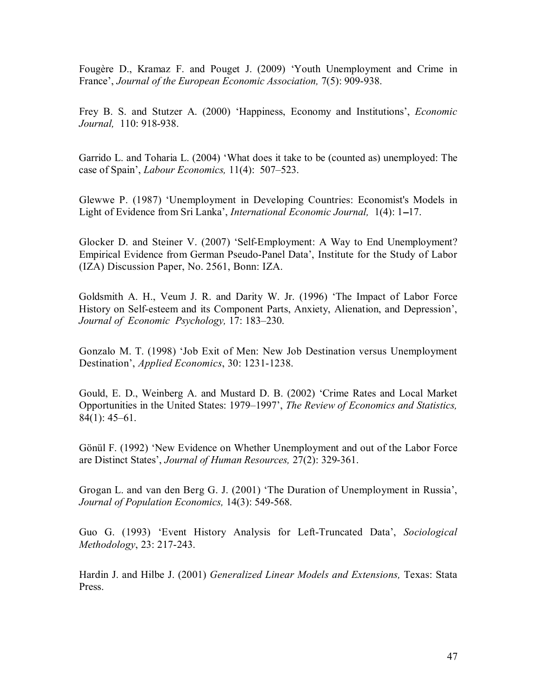Fougère D., Kramaz F. and Pouget J. (2009) 'Youth Unemployment and Crime in France', *Journal of the European Economic Association,* 7(5): 909-938.

Frey B. S. and Stutzer A. (2000) 'Happiness, Economy and Institutions', *Economic Journal,* 110: 918-938.

Garrido L. and Toharia L. (2004) 'What does it take to be (counted as) unemployed: The case of Spain', *Labour Economics,* 11(4): 507–523.

Glewwe P. (1987) 'Unemployment in Developing Countries: Economist's Models in Light of Evidence from Sri Lanka', *International Economic Journal*, 1(4): 1–17.

Glocker D. and Steiner V. (2007) 'Self-Employment: A Way to End Unemployment? Empirical Evidence from German Pseudo-Panel Data', Institute for the Study of Labor (IZA) Discussion Paper, No. 2561, Bonn: IZA.

Goldsmith A. H., Veum J. R. and Darity W. Jr. (1996) 'The Impact of Labor Force History on Self-esteem and its Component Parts, Anxiety, Alienation, and Depression', *Journal of Economic Psychology,* 17: 183–230.

Gonzalo M. T. (1998) 'Job Exit of Men: New Job Destination versus Unemployment Destination', *Applied Economics*, 30: 1231-1238.

Gould, E. D., Weinberg A. and Mustard D. B. (2002) 'Crime Rates and Local Market Opportunities in the United States: 1979–1997', *The Review of Economics and Statistics,* 84(1): 45–61.

Gönül F. (1992) 'New Evidence on Whether Unemployment and out of the Labor Force are Distinct States', *Journal of Human Resources,* 27(2): 329-361.

Grogan L. and van den Berg G. J. (2001) 'The Duration of Unemployment in Russia', *Journal of Population Economics,* 14(3): 549-568.

Guo G. (1993) 'Event History Analysis for Left-Truncated Data', *Sociological Methodology*, 23: 217-243.

Hardin J. and Hilbe J. (2001) *Generalized Linear Models and Extensions,* Texas: Stata Press.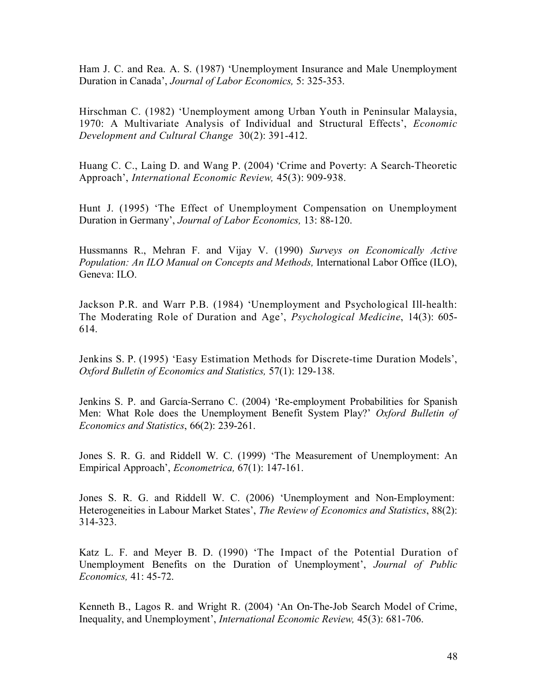Ham J. C. and Rea. A. S. (1987) 'Unemployment Insurance and Male Unemployment Duration in Canada', *Journal of Labor Economics,* 5: 325-353.

Hirschman C. (1982) 'Unemployment among Urban Youth in Peninsular Malaysia, 1970: A Multivariate Analysis of Individual and Structural Effects', *Economic Development and Cultural Change* 30(2): 391-412.

Huang C. C., Laing D. and Wang P. (2004) 'Crime and Poverty: A Search-Theoretic Approach', *International Economic Review,* 45(3): 909-938.

Hunt J. (1995) 'The Effect of Unemployment Compensation on Unemployment Duration in Germany', *Journal of Labor Economics,* 13: 88-120.

Hussmanns R., Mehran F. and Vijay V. (1990) *Surveys on Economically Active Population: An ILO Manual on Concepts and Methods,* International Labor Office (ILO), Geneva: ILO.

Jackson P.R. and Warr P.B. (1984) 'Unemployment and Psychological Ill-health: The Moderating Role of Duration and Age', *Psychological Medicine*, 14(3): 605- 614.

Jenkins S. P. (1995) 'Easy Estimation Methods for Discrete-time Duration Models', *Oxford Bulletin of Economics and Statistics,* 57(1): 129-138.

Jenkins S. P. and García-Serrano C. (2004) 'Re-employment Probabilities for Spanish Men: What Role does the Unemployment Benefit System Play?' *Oxford Bulletin of Economics and Statistics*, 66(2): 239-261.

Jones S. R. G. and Riddell W. C. (1999) 'The Measurement of Unemployment: An Empirical Approach', *Econometrica,* 67(1): 147-161.

Jones S. R. G. and Riddell W. C. (2006) 'Unemployment and Non-Employment: Heterogeneities in Labour Market States', *The Review of Economics and Statistics*, 88(2): 314-323.

Katz L. F. and Meyer B. D. (1990) 'The Impact of the Potential Duration of Unemployment Benefits on the Duration of Unemployment', *Journal of Public Economics,* 41: 45-72.

Kenneth B., Lagos R. and Wright R. (2004) 'An On-The-Job Search Model of Crime, Inequality, and Unemployment', *International Economic Review,* 45(3): 681-706.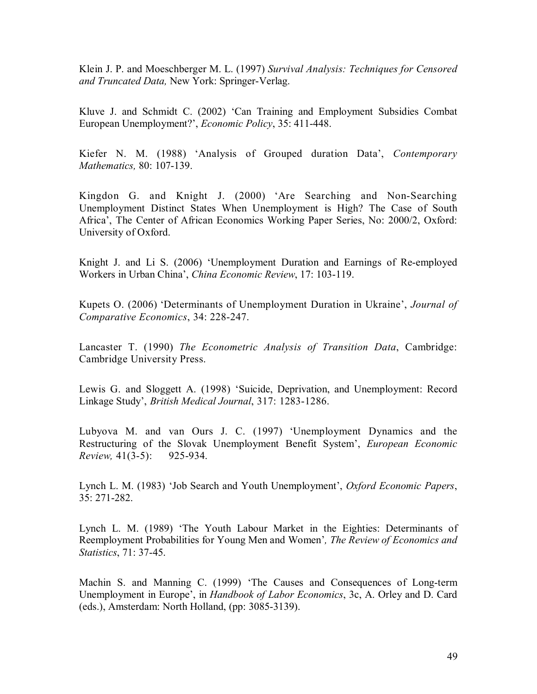Klein J. P. and Moeschberger M. L. (1997) *Survival Analysis: Techniques for Censored and Truncated Data,* New York: Springer-Verlag.

Kluve J. and Schmidt C. (2002) 'Can Training and Employment Subsidies Combat European Unemployment?', *Economic Policy*, 35: 411-448.

Kiefer N. M. (1988) 'Analysis of Grouped duration Data', *Contemporary Mathematics,* 80: 107-139.

Kingdon G. and Knight J. (2000) 'Are Searching and Non-Searching Unemployment Distinct States When Unemployment is High? The Case of South Africa', The Center of African Economics Working Paper Series, No: 2000/2, Oxford: University of Oxford.

Knight J. and Li S. (2006) 'Unemployment Duration and Earnings of Re-employed Workers in Urban China', *China Economic Review*, 17: 103-119.

Kupets O. (2006) 'Determinants of Unemployment Duration in Ukraine', *Journal of Comparative Economics*, 34: 228-247.

Lancaster T. (1990) *The Econometric Analysis of Transition Data*, Cambridge: Cambridge University Press.

Lewis G. and Sloggett A. (1998) 'Suicide, Deprivation, and Unemployment: Record Linkage Study', *British Medical Journal*, 317: 1283-1286.

Lubyova M. and van Ours J. C. (1997) 'Unemployment Dynamics and the Restructuring of the Slovak Unemployment Benefit System', *European Economic Review,* 41(3-5): 925-934.

Lynch L. M. (1983) 'Job Search and Youth Unemployment', *Oxford Economic Papers*, 35: 271-282.

Lynch L. M. (1989) 'The Youth Labour Market in the Eighties: Determinants of Reemployment Probabilities for Young Men and Women'*, The Review of Economics and Statistics*, 71: 37-45.

Machin S. and Manning C. (1999) 'The Causes and Consequences of Long-term Unemployment in Europe', in *Handbook of Labor Economics*, 3c, A. Orley and D. Card (eds.), Amsterdam: North Holland, (pp: 3085-3139).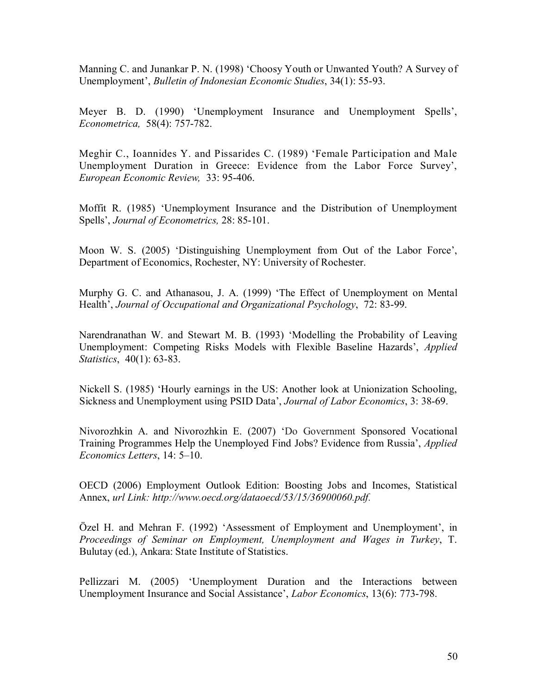Manning C. and Junankar P. N. (1998) 'Choosy Youth or Unwanted Youth? A Survey of Unemployment', *Bulletin of Indonesian Economic Studies*, 34(1): 55-93.

Meyer B. D. (1990) 'Unemployment Insurance and Unemployment Spells', *Econometrica,* 58(4): 757-782.

Meghir C., Ioannides Y. and Pissarides C. (1989) 'Female Participation and Male Unemployment Duration in Greece: Evidence from the Labor Force Survey', *European Economic Review,* 33: 95-406.

Moffit R. (1985) 'Unemployment Insurance and the Distribution of Unemployment Spells', *Journal of Econometrics,* 28: 85-101.

Moon W. S. (2005) 'Distinguishing Unemployment from Out of the Labor Force', Department of Economics, Rochester, NY: University of Rochester.

Murphy G. C. and Athanasou, J. A. (1999) 'The Effect of Unemployment on Mental Health', *Journal of Occupational and Organizational Psychology*, 72: 83-99.

Narendranathan W. and Stewart M. B. (1993) 'Modelling the Probability of Leaving Unemployment: Competing Risks Models with Flexible Baseline Hazards', *Applied Statistics*, 40(1): 63-83.

Nickell S. (1985) 'Hourly earnings in the US: Another look at Unionization Schooling, Sickness and Unemployment using PSID Data', *Journal of Labor Economics*, 3: 38-69.

Nivorozhkin A. and Nivorozhkin E. (2007) 'Do Government Sponsored Vocational Training Programmes Help the Unemployed Find Jobs? Evidence from Russia', *Applied Economics Letters*, 14: 5–10.

OECD (2006) Employment Outlook Edition: Boosting Jobs and Incomes, Statistical Annex, *url Link: http://www.oecd.org/dataoecd/53/15/36900060.pdf.* 

Özel H. and Mehran F. (1992) 'Assessment of Employment and Unemployment', in *Proceedings of Seminar on Employment, Unemployment and Wages in Turkey*, T. Bulutay (ed.), Ankara: State Institute of Statistics.

Pellizzari M. (2005) 'Unemployment Duration and the Interactions between Unemployment Insurance and Social Assistance', *Labor Economics*, 13(6): 773-798.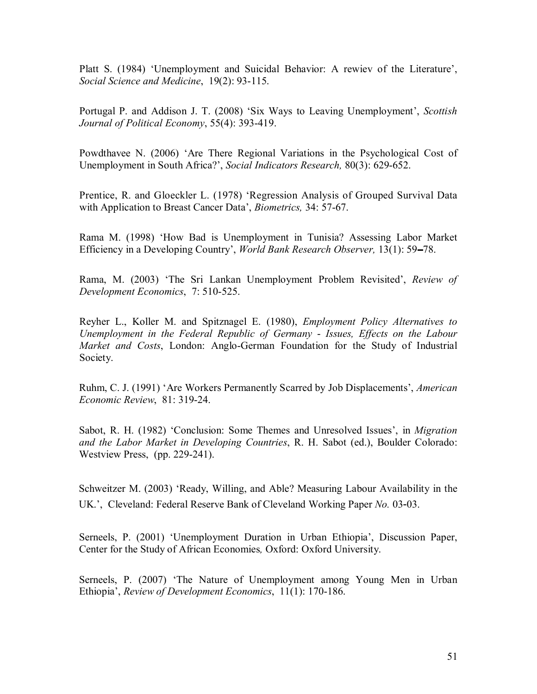Platt S. (1984) 'Unemployment and Suicidal Behavior: A rewiev of the Literature', *Social Science and Medicine*, 19(2): 93-115.

Portugal P. and Addison J. T. (2008) 'Six Ways to Leaving Unemployment', *Scottish Journal of Political Economy*, 55(4): 393-419.

Powdthavee N. (2006) 'Are There Regional Variations in the Psychological Cost of Unemployment in South Africa?', *Social Indicators Research,* 80(3): 629-652.

Prentice, R. and Gloeckler L. (1978) 'Regression Analysis of Grouped Survival Data with Application to Breast Cancer Data', *Biometrics,* 34: 57-67.

Rama M. (1998) 'How Bad is Unemployment in Tunisia? Assessing Labor Market Efficiency in a Developing Country', *World Bank Research Observer*, 13(1): 59–78.

Rama, M. (2003) 'The Sri Lankan Unemployment Problem Revisited', *Review of Development Economics*, 7: 510-525.

Reyher L., Koller M. and Spitznagel E. (1980), *Employment Policy Alternatives to Unemployment in the Federal Republic of Germany* - *Issues, Effects on the Labour Market and Costs*, London: Anglo-German Foundation for the Study of Industrial Society.

Ruhm, C. J. (1991) 'Are Workers Permanently Scarred by Job Displacements', *American Economic Review*, 81: 319-24.

Sabot, R. H. (1982) 'Conclusion: Some Themes and Unresolved Issues', in *Migration and the Labor Market in Developing Countries*, R. H. Sabot (ed.), Boulder Colorado: Westview Press, (pp. 229-241).

Schweitzer M. (2003) 'Ready, Willing, and Able? Measuring Labour Availability in the UK.', Cleveland: Federal Reserve Bank of Cleveland Working Paper *No.* 03‐03.

Serneels, P. (2001) 'Unemployment Duration in Urban Ethiopia', Discussion Paper, Center for the Study of African Economies*,* Oxford: Oxford University.

Serneels, P. (2007) 'The Nature of Unemployment among Young Men in Urban Ethiopia', *Review of Development Economics*, 11(1): 170-186.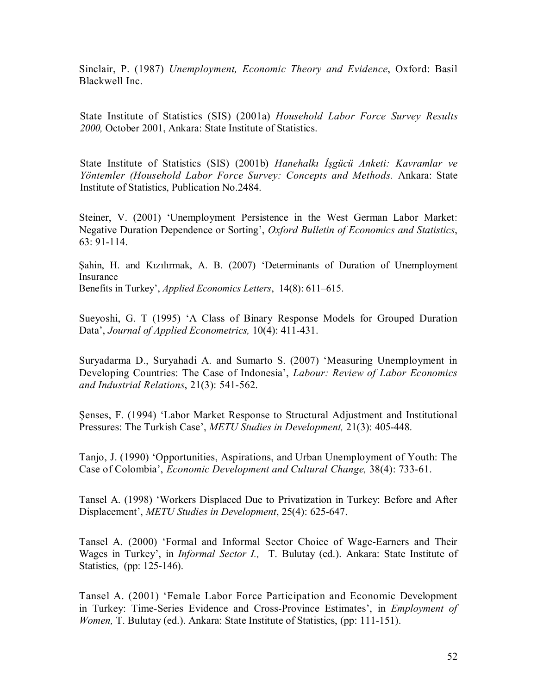Sinclair, P. (1987) *Unemployment, Economic Theory and Evidence*, Oxford: Basil Blackwell Inc.

State Institute of Statistics (SIS) (2001a) *Household Labor Force Survey Results 2000,* October 2001, Ankara: State Institute of Statistics.

State Institute of Statistics (SIS) (2001b) *Hanehalkı İşgücü Anketi: Kavramlar ve Yöntemler (Household Labor Force Survey: Concepts and Methods.* Ankara: State Institute of Statistics, Publication No.2484.

Steiner, V. (2001) 'Unemployment Persistence in the West German Labor Market: Negative Duration Dependence or Sorting', *Oxford Bulletin of Economics and Statistics*, 63: 91-114.

Şahin, H. and Kızılırmak, A. B. (2007) 'Determinants of Duration of Unemployment Insurance Benefits in Turkey', *Applied Economics Letters*, 14(8): 611–615.

Sueyoshi, G. T (1995) 'A Class of Binary Response Models for Grouped Duration Data', *Journal of Applied Econometrics,* 10(4): 411-431.

Suryadarma D., Suryahadi A. and Sumarto S. (2007) 'Measuring Unemployment in Developing Countries: The Case of Indonesia', *Labour: Review of Labor Economics and Industrial Relations*, 21(3): 541-562.

Şenses, F. (1994) 'Labor Market Response to Structural Adjustment and Institutional Pressures: The Turkish Case', *METU Studies in Development,* 21(3): 405-448.

Tanjo, J. (1990) 'Opportunities, Aspirations, and Urban Unemployment of Youth: The Case of Colombia', *Economic Development and Cultural Change,* 38(4): 733-61.

Tansel A. (1998) 'Workers Displaced Due to Privatization in Turkey: Before and After Displacement', *METU Studies in Development*, 25(4): 625-647.

Tansel A. (2000) 'Formal and Informal Sector Choice of Wage-Earners and Their Wages in Turkey', in *Informal Sector I.,* T. Bulutay (ed.). Ankara: State Institute of Statistics, (pp: 125-146).

Tansel A. (2001) 'Female Labor Force Participation and Economic Development in Turkey: Time-Series Evidence and Cross-Province Estimates', in *Employment of Women, T. Bulutay (ed.). Ankara: State Institute of Statistics, (pp: 111-151).*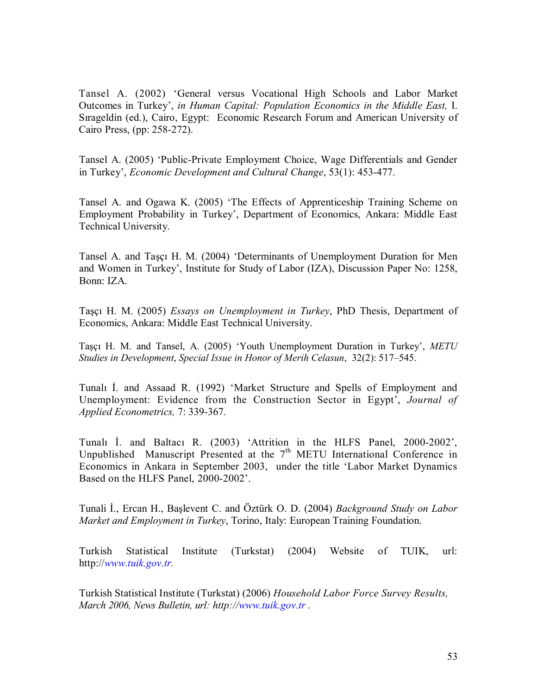Tansel A. (2002) 'General versus Vocational High Schools and Labor Market Outcomes in Turkey', *in Human Capital: Population Economics in the Middle East,* I. Sırageldin (ed.), Cairo, Egypt: Economic Research Forum and American University of Cairo Press, (pp: 258-272).

Tansel A. (2005) 'Public-Private Employment Choice, Wage Differentials and Gender in Turkey', *Economic Development and Cultural Change*, 53(1): 453-477.

Tansel A. and Ogawa K. (2005) 'The Effects of Apprenticeship Training Scheme on Employment Probability in Turkey', Department of Economics, Ankara: Middle East Technical University.

Tansel A. and Taşçı H. M. (2004) 'Determinants of Unemployment Duration for Men and Women in Turkey', Institute for Study of Labor (IZA), Discussion Paper No: 1258, Bonn: IZA.

Taşçı H. M. (2005) *Essays on Unemployment in Turkey*, PhD Thesis, Department of Economics, Ankara: Middle East Technical University.

Taşçı H. M. and Tansel, A. (2005) 'Youth Unemployment Duration in Turkey', *METU Studies in Development*, *Special Issue in Honor of Merih Celasun*, 32(2): 517–545.

Tunalı İ. and Assaad R. (1992) 'Market Structure and Spells of Employment and Unemployment: Evidence from the Construction Sector in Egypt', *Journal of Applied Econometrics,* 7: 339-367.

Tunalı İ. and Baltacı R. (2003) 'Attrition in the HLFS Panel, 2000-2002', Unpublished Manuscript Presented at the  $7<sup>th</sup>$  METU International Conference in Economics in Ankara in September 2003, under the title 'Labor Market Dynamics Based on the HLFS Panel, 2000-2002'.

Tunali İ., Ercan H., Başlevent C. and Öztürk O. D. (2004) *Background Study on Labor Market and Employment in Turkey*, Torino, Italy: European Training Foundation.

Turkish Statistical Institute (Turkstat) (2004) Website of TUIK, url: http://*www.tuik.gov.tr.*

Turkish Statistical Institute (Turkstat) (2006) *Household Labor Force Survey Results, March 2006, News Bulletin, url: http://www.tuik.gov.tr .*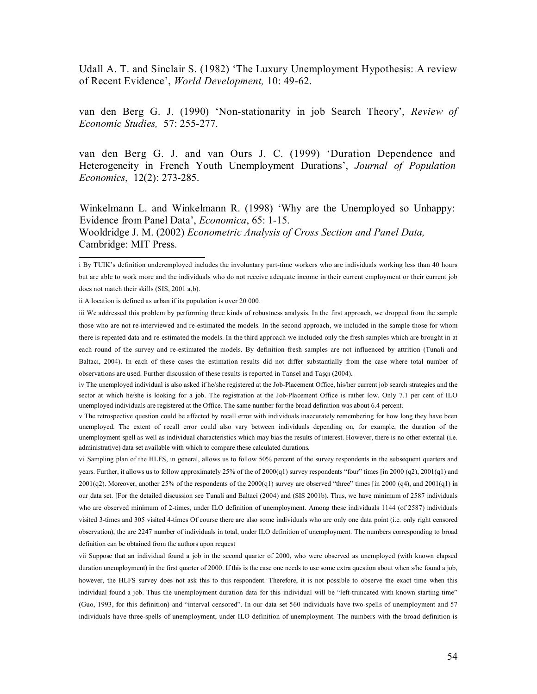Udall A. T. and Sinclair S. (1982) 'The Luxury Unemployment Hypothesis: A review of Recent Evidence', *World Development,* 10: 49-62.

van den Berg G. J. (1990) 'Non-stationarity in job Search Theory', *Review of Economic Studies,* 57: 255-277.

van den Berg G. J. and van Ours J. C. (1999) 'Duration Dependence and Heterogeneity in French Youth Unemployment Durations', *Journal of Population Economics*, 12(2): 273-285.

Winkelmann L. and Winkelmann R. (1998) 'Why are the Unemployed so Unhappy: Evidence from Panel Data', *Economica*, 65: 1-15. Wooldridge J. M. (2002) *Econometric Analysis of Cross Section and Panel Data,*  Cambridge: MIT Press.

ii A location is defined as urban if its population is over 20 000.

iv The unemployed individual is also asked if he/she registered at the Job-Placement Office, his/her current job search strategies and the sector at which he/she is looking for a job. The registration at the Job-Placement Office is rather low. Only 7.1 per cent of ILO unemployed individuals are registered at the Office. The same number for the broad definition was about 6.4 percent.

v The retrospective question could be affected by recall error with individuals inaccurately remembering for how long they have been unemployed. The extent of recall error could also vary between individuals depending on, for example, the duration of the unemployment spell as well as individual characteristics which may bias the results of interest. However, there is no other external (i.e. administrative) data set available with which to compare these calculated durations.

vi Sampling plan of the HLFS, in general, allows us to follow 50% percent of the survey respondents in the subsequent quarters and years. Further, it allows us to follow approximately 25% of the of 2000(q1) survey respondents "four" times [in 2000 (q2), 2001(q1) and  $2001(q2)$ . Moreover, another 25% of the respondents of the  $2000(q1)$  survey are observed "three" times [in 2000 (q4), and  $2001(q1)$  in our data set. [For the detailed discussion see Tunali and Baltaci (2004) and (SIS 2001b). Thus, we have minimum of 2587 individuals who are observed minimum of 2-times, under ILO definition of unemployment. Among these individuals 1144 (of 2587) individuals visited 3-times and 305 visited 4-times Of course there are also some individuals who are only one data point (i.e. only right censored observation), the are 2247 number of individuals in total, under ILO definition of unemployment. The numbers corresponding to broad definition can be obtained from the authors upon request

vii Suppose that an individual found a job in the second quarter of 2000, who were observed as unemployed (with known elapsed duration unemployment) in the first quarter of 2000. If this is the case one needs to use some extra question about when s/he found a job, however, the HLFS survey does not ask this to this respondent. Therefore, it is not possible to observe the exact time when this individual found a job. Thus the unemployment duration data for this individual will be "left-truncated with known starting time" (Guo, 1993, for this definition) and "interval censored". In our data set 560 individuals have two-spells of unemployment and 57 individuals have three-spells of unemployment, under ILO definition of unemployment. The numbers with the broad definition is

 i By TUIK's definition underemployed includes the involuntary part-time workers who are individuals working less than 40 hours but are able to work more and the individuals who do not receive adequate income in their current employment or their current job does not match their skills (SIS, 2001 a,b).

iii We addressed this problem by performing three kinds of robustness analysis. In the first approach, we dropped from the sample those who are not re-interviewed and re-estimated the models. In the second approach, we included in the sample those for whom there is repeated data and re-estimated the models. In the third approach we included only the fresh samples which are brought in at each round of the survey and re-estimated the models. By definition fresh samples are not influenced by attrition (Tunali and Baltacı, 2004). In each of these cases the estimation results did not differ substantially from the case where total number of observations are used. Further discussion of these results is reported in Tansel and Taşçı (2004).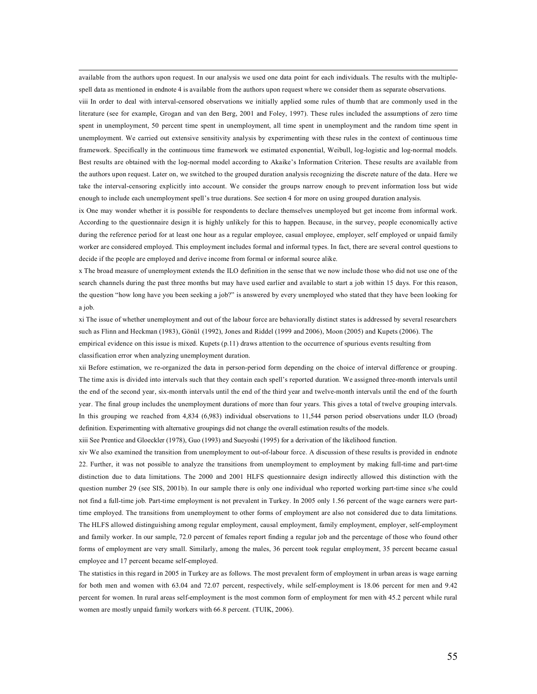available from the authors upon request. In our analysis we used one data point for each individuals. The results with the multiplespell data as mentioned in endnote 4 is available from the authors upon request where we consider them as separate observations.

viii In order to deal with interval-censored observations we initially applied some rules of thumb that are commonly used in the literature (see for example, Grogan and van den Berg, 2001 and Foley, 1997). These rules included the assumptions of zero time spent in unemployment, 50 percent time spent in unemployment, all time spent in unemployment and the random time spent in unemployment. We carried out extensive sensitivity analysis by experimenting with these rules in the context of continuous time framework. Specifically in the continuous time framework we estimated exponential, Weibull, log-logistic and log-normal models. Best results are obtained with the log-normal model according to Akaike's Information Criterion. These results are available from the authors upon request. Later on, we switched to the grouped duration analysis recognizing the discrete nature of the data. Here we take the interval-censoring explicitly into account. We consider the groups narrow enough to prevent information loss but wide enough to include each unemployment spell's true durations. See section 4 for more on using grouped duration analysis.

ix One may wonder whether it is possible for respondents to declare themselves unemployed but get income from informal work. According to the questionnaire design it is highly unlikely for this to happen. Because, in the survey, people economically active during the reference period for at least one hour as a regular employee, casual employee, employer, self employed or unpaid family worker are considered employed. This employment includes formal and informal types. In fact, there are several control questions to decide if the people are employed and derive income from formal or informal source alike.

x The broad measure of unemployment extends the ILO definition in the sense that we now include those who did not use one of the search channels during the past three months but may have used earlier and available to start a job within 15 days. For this reason, the question "how long have you been seeking a job?" is answered by every unemployed who stated that they have been looking for a job.

xi The issue of whether unemployment and out of the labour force are behaviorally distinct states is addressed by several researchers such as Flinn and Heckman (1983), Gönül (1992), Jones and Riddel (1999 and 2006), Moon (2005) and Kupets (2006). The empirical evidence on this issue is mixed. Kupets (p.11) draws attention to the occurrence of spurious events resulting from classification error when analyzing unemployment duration.

xii Before estimation, we re-organized the data in person-period form depending on the choice of interval difference or grouping. The time axis is divided into intervals such that they contain each spell's reported duration. We assigned three-month intervals until the end of the second year, six-month intervals until the end of the third year and twelve-month intervals until the end of the fourth year. The final group includes the unemployment durations of more than four years. This gives a total of twelve grouping intervals. In this grouping we reached from 4,834 (6,983) individual observations to 11,544 person period observations under ILO (broad) definition. Experimenting with alternative groupings did not change the overall estimation results of the models.

xiii See Prentice and Gloeckler (1978), Guo (1993) and Sueyoshi (1995) for a derivation of the likelihood function.

xiv We also examined the transition from unemployment to out-of-labour force. A discussion of these results is provided in endnote 22. Further, it was not possible to analyze the transitions from unemployment to employment by making full-time and part-time distinction due to data limitations. The 2000 and 2001 HLFS questionnaire design indirectly allowed this distinction with the question number 29 (see SIS, 2001b). In our sample there is only one individual who reported working part-time since s/he could not find a full-time job. Part-time employment is not prevalent in Turkey. In 2005 only 1.56 percent of the wage earners were parttime employed. The transitions from unemployment to other forms of employment are also not considered due to data limitations. The HLFS allowed distinguishing among regular employment, causal employment, family employment, employer, self-employment and family worker. In our sample, 72.0 percent of females report finding a regular job and the percentage of those who found other forms of employment are very small. Similarly, among the males, 36 percent took regular employment, 35 percent became casual employee and 17 percent became self-employed.

The statistics in this regard in 2005 in Turkey are as follows. The most prevalent form of employment in urban areas is wage earning for both men and women with 63.04 and 72.07 percent, respectively, while self-employment is 18.06 percent for men and 9.42 percent for women. In rural areas self-employment is the most common form of employment for men with 45.2 percent while rural women are mostly unpaid family workers with 66.8 percent. (TUIK, 2006).